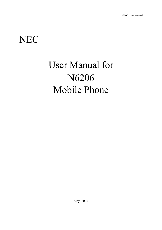# NEC

# User Manual for N6206 Mobile Phone

May, 2006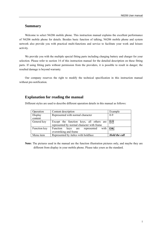## **Summary**

Welcome to select N6206 mobile phone. This instruction manual explains the excellent performance of N6206 mobile phone for details. Besides basic function of talking, N6206 mobile phone and system network also provide you with practical multi-functions and service to facilitate your work and leisure activity.

We provide you with the multiple special fitting parts including charging battery and charger for your selection. Please refer to section 14 of this instruction manual for the detailed description on these fitting parts. If using fitting parts without permission from the providers, it is possible to result in danger; the resulted damage is beyond warranty.

Our company reserves the right to modify the technical specification in this instruction manual without pre-notification.

## **Explanation for reading the manual**

Different styles are used to describe different operation details in this manual as follows:

| Operation    | Content description                                          | Example |  |
|--------------|--------------------------------------------------------------|---------|--|
| Display      | Represented with normal character                            | $0 - 9$ |  |
| content      |                                                              |         |  |
| General key  | Except the function keys, all others are                     | $0 - 9$ |  |
|              | represented by normal character with frame                   |         |  |
| Function key | Function keys are represented<br>with                        | OK      |  |
|              | overstriking and frame                                       |         |  |
| Menu item    | Represented by italics with boldface<br><b>Hold the call</b> |         |  |

**Note:** The pictures used in the manual are the function illustration pictures only, and maybe they are different from display in your mobile phone. Please take yours as the standard.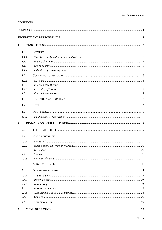## **CONTENTS**

| $\mathbf{1}$   |  |     |  |
|----------------|--|-----|--|
| 1.1            |  |     |  |
| 1.1.1          |  |     |  |
| 1.1.2          |  |     |  |
| 1.1.3          |  |     |  |
| 1.1.4          |  |     |  |
| 1.2            |  |     |  |
| 1.2.1          |  |     |  |
| 1.2.2          |  |     |  |
| 1.2.3          |  |     |  |
| 1.2.4          |  |     |  |
| 1.3            |  |     |  |
| 1.4            |  |     |  |
| 1.5            |  |     |  |
| 1.5.1          |  |     |  |
| $\overline{2}$ |  |     |  |
| 2.1            |  |     |  |
| 2.2            |  |     |  |
| 2.2.1          |  |     |  |
| 2.2.2          |  |     |  |
| 2.2.3          |  | .20 |  |
| 2.2.4          |  |     |  |
| 2.2.5          |  |     |  |
| 2.3            |  |     |  |
| 2.4            |  |     |  |
| 2.4.1          |  |     |  |
| 2.4.2          |  |     |  |
| 2.4.3          |  |     |  |
| 2.4.4          |  |     |  |
| 2.4.5          |  |     |  |
| 2.4.6          |  |     |  |
| 2.5            |  |     |  |
| $\mathbf{3}$   |  |     |  |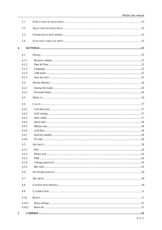|   | 3.1    |  |
|---|--------|--|
|   | 3.2    |  |
|   | 3.3    |  |
|   | 3.4    |  |
| 4 |        |  |
|   | 4.1    |  |
|   | 4.1.1  |  |
|   | 4.1.2  |  |
|   | 4.1.3  |  |
|   | 4.1.4  |  |
|   | 4.1.5  |  |
|   |        |  |
|   | 4.2    |  |
|   | 4.2.1  |  |
|   | 4.2.2  |  |
|   | 4.3    |  |
|   | 4.4    |  |
|   | 4.4.1  |  |
|   | 4.4.2  |  |
|   | 4.4.3  |  |
|   | 4.4.4  |  |
|   | 4.4.5  |  |
|   | 4.4.6  |  |
|   | 4.4.7  |  |
|   | 4.4.8  |  |
|   | 4.5    |  |
|   | 4.5.1  |  |
|   | 4.5.2  |  |
|   | 4.5.3  |  |
|   | 4.5.4  |  |
|   | 4.5.5  |  |
|   | 4.6    |  |
|   | 4.7    |  |
|   | 4.8    |  |
|   | 4.9    |  |
|   | 4.10   |  |
|   | 4.10.1 |  |
|   | 4.10.2 |  |
|   |        |  |
| 5 |        |  |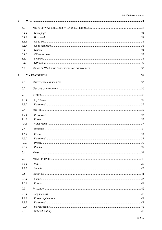| 6              |       |              |  |
|----------------|-------|--------------|--|
|                | 6.1   |              |  |
|                | 6.1.1 |              |  |
|                | 6.1.2 |              |  |
|                | 6.1.3 |              |  |
|                | 6.1.4 |              |  |
|                | 6.1.5 |              |  |
|                | 6.1.6 |              |  |
|                | 6.1.7 |              |  |
|                | 6.1.8 |              |  |
|                | 6.2   |              |  |
| $\overline{7}$ |       |              |  |
|                | 7.1   |              |  |
|                | 7.2   |              |  |
|                | 7.3   |              |  |
|                | 7.3.1 |              |  |
|                | 7.3.2 |              |  |
|                | 7.4   |              |  |
|                | 7.4.1 |              |  |
|                | 7.4.2 |              |  |
|                | 7.4.3 |              |  |
|                | 7.5   |              |  |
|                | 7.5.1 |              |  |
|                | 7.5.2 |              |  |
|                | 7.5.3 |              |  |
|                | 7.5.4 |              |  |
|                | 7.6   |              |  |
|                | 7.7   |              |  |
|                | 7.7.1 | Video. 1.140 |  |
|                | 7.7.2 |              |  |
|                | 7.8   |              |  |
|                | 7.8.1 |              |  |
|                | 7.8.2 |              |  |
|                | 7.9   |              |  |
|                | 7.9.1 |              |  |
|                | 7.9.2 |              |  |
|                | 7.9.3 |              |  |
|                | 7.9.4 |              |  |
|                | 7.9.5 |              |  |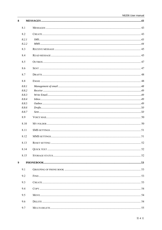| 8                |       |  |
|------------------|-------|--|
|                  | 8.1   |  |
|                  | 8.2   |  |
|                  | 8.2.1 |  |
|                  | 8.2.2 |  |
|                  | 8.3   |  |
|                  | 8.4   |  |
|                  | 8.5   |  |
|                  | 8.6   |  |
|                  | 8.7   |  |
|                  | 8.8   |  |
|                  | 8.8.1 |  |
|                  | 8.8.2 |  |
|                  | 8.8.3 |  |
|                  | 8.8.4 |  |
|                  | 8.8.5 |  |
|                  | 8.8.6 |  |
|                  | 8.8.7 |  |
|                  | 8.9   |  |
|                  | 8.10  |  |
|                  | 8.11  |  |
|                  | 8.12  |  |
|                  | 8.13  |  |
|                  | 8.14  |  |
|                  | 8.15  |  |
| $\boldsymbol{9}$ |       |  |
|                  | 9.1   |  |
|                  | 9.2   |  |
|                  | 9.3   |  |
|                  | 9.4   |  |
|                  | 9.5   |  |
|                  | 9.6   |  |
|                  | 9.7   |  |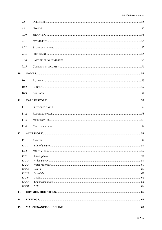| 15 |                  |    |
|----|------------------|----|
| 14 |                  |    |
| 13 |                  |    |
|    | 12.2.8           |    |
|    | 12.2.7           |    |
|    | 12.2.6           |    |
|    | 12.2.4<br>12.2.5 |    |
|    | 12.2.3           |    |
|    | 12.2.2           |    |
|    | 12.2.1           |    |
|    | 12.2             |    |
|    | 12.1.1           |    |
|    |                  | 59 |
| 12 |                  |    |
|    | 11.4             |    |
|    | 11.3             |    |
|    | 11.2             |    |
|    | 11.1             |    |
| 11 |                  |    |
|    | 10.3             |    |
|    | 10.2             |    |
|    | 10.1             |    |
| 10 |                  |    |
|    | 9.15             |    |
|    | 9.14             |    |
|    | 9.13             |    |
|    | 9.12             |    |
|    | 9.11             |    |
|    | 9.10             |    |
|    | 9.9              |    |
|    | 9.8              |    |
|    |                  |    |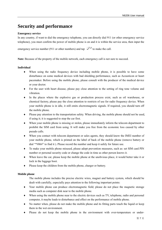# **Security and performance**

## **Emergency service**

In any country, if want to dial the emergency telephone, you can directly dial 911 (or other emergency service telephone), you must confirm the power of mobile phone is on and it is within the service area, then input the

emergency service number (911 or other numbers) and tap  $\sim$  to make the call.

**Note:** Because of the property of the mobile network, each emergency call is not sure to succeed.

## **Individual**

- ♦ When using the radio frequency device including mobile phone, it is possible to have some disturbance on some medical devices with bad shielding performance, such as Acousticon or heart pacemaker. Before using the mobile phone, please consult with the producer of the medical device or your doctor.
- ♦ For the user with heart disease, please pay close attention to the setting of ring tone volume and vibration.
- ♦ In the places where the explosive gas or production process exist, such as oil warehouse, or chemical factory, please pay the close attention to restricts of use for radio frequency device. When your mobile phone is in idle, it still emits electromagnetic signals. If required, you should turn off the mobile phone.
- ♦ Please pay attention to the transportation safety. When driving, the mobile phone should not be used, if using it; it is suggested to stop the car first.
- When your mobile phone is missing or stolen, please immediately inform the telecom department to prohibit the SIM card from using. It will make you free from the economic loss caused by other pseudo calls.
- ♦ When you contact with telecom department or sales agents, they should know the IMEI number of your mobile phone, which is printed on the label of back of the mobile phone (remove battery or dial "\*#06#" to find it ). Please record the number and keep it safely for future use.
- ♦ To make your mobile phone misused, please adopt prevention measures, such as: set SIM card PIN number or personal security code or change the code in time as other person knows it.
- ♦ When leave the car, please keep the mobile phone at the unobvious place, it would better take it or lock in the luggage boot.
- ♦ Please keep the children from the mobile phone, charger or battery.

## **Mobile phone**

The mobile phone includes the precise electric wires, magnet and battery system, which should be dealt with carefully, especially pays attention to the following important points:

- ♦ Your mobile phone can produce electromagnetic field; please do not place the magnetic storage media such as computer disk near to the mobile phone.
- ♦ When using the mobile phone near to the electric devices such as TV, telephone, radio and personal computer, it maybe leads to disturbance and effect on the performance of mobile phone.
- ♦ No matter when, please do not make the mobile phone and its fitting parts touch the liquid or keep them in the wet environment.
- ♦ Please do not keep the mobile phone in the environment with over-temperature or under-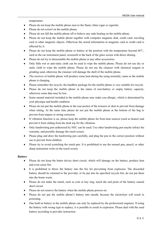temperature.

- ♦ Please do not keep the mobile phone near to the flame, litten cigar or cigarette.
- ♦ Please do not scrawl on the mobile phone.
- Please do not fall the mobile phone off or behave any rude beating on the mobile phone.
- ♦ Please do not keep the mobile phone together with computer magnetic disk, credit card, traveling card or other magnetic objects. Otherwise the stored information in magnetic card or credit card is affected by it.
- Please do not keep the mobile phone or battery at the position with the temperature beyond 60 °C, such as the car instrument panel, screensill or the back of the glass screen with direct shining.
- ♦ Please do not try to disassemble the mobile phone or any other accessories.
- Only little wet or anti-static cloth can be used to wipe the mobile phone. Please do not use dry or static cloth to wipe the mobile phone. Please do not use the cleanser with chemical reagent or grinding sand, otherwise the cleanser will damage the shell of the mobile phone.
- ♦ The receiver of mobile phone will produce some heat during the using normally; same as the mobile phone is charging.
- ♦ Please remember the recycle, the bandbox package for the mobile phone is very suitable for recycle.
- ♦ Please do not keep the mobile phone in the status of non-battery or empty battery capacity; otherwise some data may be lost.
- ♦ Some mental material included in the mobile phone may make you allergic, which is determined by your physique and health condition.
- ♦ Please do not put the mobile phone in the rear pocket of the trousers or skirt to prevent from damage when sitting. At the same time please do not put the mobile phone at the bottom of the bag to prevent from impact or strong extrusion.
- ♦ If vibration function is on, please keep the mobile phone far from heat sources (such as heater) and prevent it from sliding from the desk top for the vibration.
- ♦ Only handwriting pen authorized by NEC can be used. Use other handwriting pen maybe infract the warranty, and possibly damage the touch screen.
- ♦ Please plug and draw the hardwiring pen carefully, and plug the pen in the correct position without use to prevent from children.
- ♦ Please try to avoid scratching the touch pen. It is prohibited to use the normal pen, pencil, or other sharp instrument write on the touch screen.

## **Battery**

- Please do not keep the batter device short circuit, which will damage on the battery, produce heat and even cause fire.
- ♦ It is prohibited to throw the battery into the fire for preventing from explosion. The discarded battery should be returned to the provider, or be put into he specified recycle bin; do not put them into the home waste.
- ♦ Please do not make the metal, such as coin or key ring, touch the end point of the battery caused short circuit.
- ♦ Please do not remove the battery when the mobile phone powers on.
- ♦ Please do not put the mobile phone's battery into mouth, because the electrolyte will result in poisoning.
- ♦ One built-in battery in the mobile phone can only be replaced by the professional engineer. If using the battery with wrong type to replace, it is possible to result in explosion. Please deal with the used battery according to provider instruction.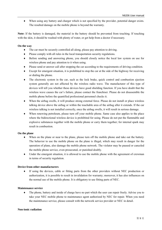♦ When using any battery and charger which is not specified by the provider, potential danger exists. The resulted damage on the mobile phone is beyond the warranty.

**Note:** If the battery is damaged, the material in the battery should be prevented from touching. If touching with the skin, it should be washed with plenty of water, or get help from a doctor if necessary.

## **On the way**

- ♦ The car must be securely controlled all along, please pay attention to driving.
- ♦ Please comply with all rules in the local transportation security regulations.
- ♦ Before sending and answering phone, you should closely notice the local law system on use for wireless phone and pay attention to it when using.
- ♦ Please send or answer call after stopping the car according to the requirements of driving condition.
- ♦ Except for emergent situation, it is prohibited to stop the car at the side of the highway for receiving or dialing the phone.
- ♦ The electronic system in the car, such as the lock brake, quick control and combustion ejection system generally are not affected by the wireless radio wave. The manufacturer of this type of devices will tell you whether these devices have good shielding function. If you have doubt that the wireless wave causes the car's failure, please contact the franchiser. Please do not disassemble the mobile phone before the quantified professional personnel checks it.
- ♦ When the airbag swells, it will produce strong external force. Please do not install or place wireless talking device above the airbag or within the touchable area of the airbag after it extends. If the car wireless talking is not installed correctly, once the airbag swells, it will result in serious damage.
- ♦ When renewing petroleum, please turn off your mobile phone. Same case also applies to the place where the bidirectional wireless device is prohibited for using. Please do not put the flammable and explosive substances together with the mobile phone or carry them together; for internal spark may result in combustion.

## **On the plane**

- ♦ When on the plane or near to the plane, please turn off the mobile phone and take out the battery. The behavior to use the mobile phone on the plane is illegal, which may result in danger for the operation of plane, also damage the mobile phone network. The violator may be paused or canceled the mobile phone service, even prosecuted, or punished doubly.
- ♦ Under the emergent situation, it is allowed to use the mobile phone with the agreement of crewman in terms of security regulation.

## **Device from other manufacturers**

♦ If using the devices, cable or fitting parts from the other providers without NEC production or authorization, it is possible to result in invalidation for warranty; moreover, it has also influences on the normal use of the mobile phone. It is obligatory to use fitting parts of NEC.

## **Maintenance service**

♦ The phone, battery and inside of charge have no part which the user can repair freely. Advise you to take your NEC mobile phone to maintenance agent authorized by NEC for repair. When you need the maintenance service, please consult with the network service provider or NEC in detail.

#### **Non-ionic radiation**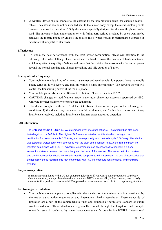♦ A wireless device should connect to the antenna by the non-radiation cable (for example coaxialcable). The antenna should not be installed near to the human body, except the metal shielding exists between them, such as metal roof. Only the antenna specially designed for this mobile phone can be used. The antenna without authorization or with fitting parts refitted or added by users own maybe damages the mobile phone or violates the related rules, which results in performance decrease or radiation with unqualified standards.

#### **Effective use**

To obtain the best performance with the least power consumption, please pay attention to the following rules: when talking, please do not use the hand to cover the position of built-in antenna, which may affect the quality of talking and cause that the mobile phone works with the output power beyond the normal standard and shorten the talking and idle duration of battery.

#### **Energy of radio frequency**

- Your mobile phone is a kind of wireless transmitter and receiver with low power. Once the mobile phone turns on, it will receive and transmit wireless signal intermittently. The network system will control the transmitting power of the mobile phone.
- ♦ Your mobile phone also uses the Bluetooth technique. Please see section 12.2.7.1
- ♦ CAUTION: changes or modifications made in the radio phone, not expressly approved by NEC, will void the user's authority to operate the equipment.
- ♦ This device complies with Part 15 of the FCC Rules. Operation is subject to the following two conditions: 1) this device may not cause harmful interference, and 2) this device must accept any interference received, including interference that may cause undesired operation.

#### **SAR information**

The SAR limit of USA (FCC) is 1.6 W/kg averaged over one gram of tissue. This product has also been tested against this SAR limit. The highest SAR value reported under this standard during product certification for use at the ear is 0.659W/kg and when properly worn on the body is 0.080W/kg. This device was tested for typical body-worn operations with the back of the handset kept 1.5cm from the body. To maintain compliance with FCC RF exposure requirements, use accessories that maintain a 1.5cm separation distance between the user's body and the back of the handset. The use of belt clips, holsters and similar accessories should not contain metallic components in its assembly. The use of accessories that do not satisfy these requirements may not comply with FCC RF exposure requirements, and should be avoided.

#### **Body-worn operation**

To maintain compliance with FCC RF exposure guidelines, if you wear a radio product on your body when transmitting, always place the radio product in a NEC approved clip, holder, holster, case or body harness for this product. Use of non-NEC-approved accessories may exceed FCC RF exposure guidelines.

#### **Electromagnetic radiation**

Your mobile phone completely complies with the standard on the wireless radiation constituted by the nation authoritative organization and international health association. These standards of limitation are a part of the comprehensive rules and compose of permissive standard of public wireless radiation. These standards are gradually formed through the long-term and in-depth scientific research conducted by some independent scientific organization ICNIRP (International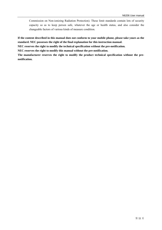Commission on Non-ionizing Radiation Protection). These limit standards contain lots of security capacity so as to keep person safe, whatever the age or health status, and also consider the changeable factors of various kinds of measure condition.

**If the content described in this manual does not conform to your mobile phone, please take yours as the standard. NEC possesses the right of the final explanation for this instruction manual.** 

**NEC reserves the right to modify the technical specification without the pre-notification.** 

**NEC reserves the right to modify this manual without the pre-notification.** 

**The manufacturer reserves the right to modify the product technical specification without the prenotification.**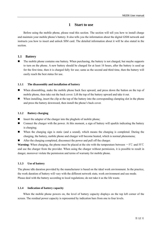## **1 Start to use**

Before using the mobile phone, please read this section. The section will tell you how to install charge and maintain your mobile phone's battery. It also tells you the information about the digital GSM network and instructs you how to insert and unlock SIM card. The detailed information about it will be also stated in the section.

## **1.1 Battery**

■ The mobile phone contains one battery. When purchasing, the battery is not charged, but maybe supports to turn on the phone. A new battery should be charged for at least 16 hours, after the battery is used up for the first time, then it is charged fully for use; same as the second and third time, then the battery will easily reach the best status for use.

## **1.1.1 The disassembly and installation of battery**

- When dissembling, make the mobile phone back face upward, and press down the button on the top of mobile phone, then take out the back cover. Lift the top of the battery upward and take it out.
- When installing, insert the clip at the top of the battery into the corresponding clamping slot in the phone and press the battery downward, then install the phone's back cover.

#### **1.1.2 Battery charging**

- $\blacksquare$  Insert the adapter of the charger into the plughole of mobile phone;
- **EXECONOOF CONNECT CONNECT** Connect the charger with the power. At this moment, a sign of battery will sparkle indicating the battery is charging;
- When the charging sign is static (and a sound), which means the charging is completed. During the charging, the battery, mobile phone and charger will become heated, which is normal phenomena;
- After the charging completed, disconnect the power and pull off the charger.

**Warning:** When charging, the phone must be placed at the site with the temperature between  $-5^{\circ}$ C and 55 °C and use the charger from the provider. When using the charger without permission, it is possible to result in danger, moreover violate the permission and terms of warranty for mobile phone.

## **1.1.3 Use of battery**

The phone idle duration provided by the manufacturer is based on the ideal work environment. In the practice, the work duration of battery will vary with the different network state, work environment and use mode. Please deal with the battery according to local regulations; do not take it as the life waste.

## **1.1.4 Indication of battery capacity**

When the mobile phone powers on, the level of battery capacity displays on the top left corner of the screen. The residual power capacity is represented by indication bars from one to four levels.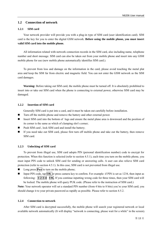## **1.2 Connection of network**

#### **1.2.1 SIM card**

Your network provider will provide you with a plug-in type of SIM card (user identification card). SIM card is the key for you to enter the digital GSM network. **Before using the mobile phone, you must insert valid SIM card into the mobile phone.** 

All information related with network connection records in the SIM card, also including name, telephone number and short message. SIM card can also be taken out from your mobile phone and insert into any GSM mobile phone for use (new mobile phone automatically identifies SIM card.).

To prevent from loss and damage on the information in the card, please avoid touching the metal plat area and keep the SIM far from electric and magnetic field. You can not enter the GSM network as the SIM card damages.

**Warning:** Before taking out SIM card, the mobile phone must be turned off. It is absolutely prohibited to insert into or take out SIM card when the phone is connecting to external power, otherwise SIM card may be damaged.

#### **1.2.2 Insertion of SIM card**

Generally SIM card is put into a card, and it must be taken out carefully before installation.

- Turn off the mobile phone and remove the battery and other external power.
- Insert SIM card into the bottom of lugs and ensure the metal plane area is downward and the position of its corner is the same as which of clamping slot's corner;
- Push SIM card , lock SIM card and install the battery;
- If you need take out SIM card, please first turn off mobile phone and take out the battery, then remove SIM card.

#### **1.2.3 Unlocking of SIM card**

To prevent from illegal use, SIM card adopts PIN (personal identification number) code to encrypt for protection. When this function is selected (refer to section 4.5.1), each time you turn on the mobile phone, you must input PIN code to unlock SIM card for sending or answering calls. A user can also relieve SIM card protection (refer to section 4.5.1). In this case, SIM card is not prevented from illegal use.

- **Long press Pwr** to turn on the mobile phone;
- Input PIN code, tap  $\overline{OK}$  or press camera key to confirm. For example: if PIN is set as 1234, then input as following: **1 2 3 4 OK**. If you continue inputting wrong code for three times, then your SIM card will be locked. The mobile phone will query PUK code. (Please refer to the instruction of SIM card.)

**Note:** Your network operator will set a standard PIN number (from 4 bits to 8 bits) you're your SIM card; you should change it to your private password as rapidly as possible. Please refer to section 4.5.2.

#### **1.2.4 Connection to network**

After SIM card is decrypted successfully, the mobile phone will search your registered network or local available network automatically (It will display "network is connecting, please wait for a while" in the screen).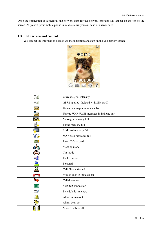Once the connection is successful, the network sign for the network operator will appear on the top of the screen. At present, your mobile phone is in idle status; you can send or answer calls.

## **1.3 Idle screen and content**

You can get the information needed via the indication and sign on the idle display screen.



| Yul  | Current signal intensity                 |  |
|------|------------------------------------------|--|
|      | GPRS applied (related with SIM card)     |  |
| Z    | Unread messages in indicate bar          |  |
| ∾    | Unread WAP PUSH messages in indicate bar |  |
| Z,   | Messages memory full                     |  |
| B.   | Phone memory full                        |  |
| ۵E   | SIM card memory full                     |  |
| V6   | WAP push messages full                   |  |
| Œ    | Insert T-flash card                      |  |
|      | Meeting mode                             |  |
| ò.   | Car mode                                 |  |
| ⊣₩   | Pocket mode                              |  |
| A    | Personal                                 |  |
| 으    | Call filter activated                    |  |
|      | Missed calls in indicate bar             |  |
| ₩    | Call diversion                           |  |
| CSD. | Set CSD connection                       |  |
|      | Schedule is time out.                    |  |
|      | Alarm is time out.                       |  |
|      | Alarm been set                           |  |
|      | Missed calls in idle                     |  |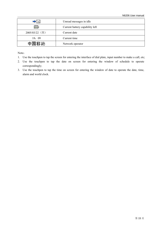|                | Unread messages in idle         |  |
|----------------|---------------------------------|--|
|                | Current battery capability left |  |
| 2005/03/22 (四) | Current date                    |  |
| 18:09          | Current time                    |  |
| 中国移动           | Network operator                |  |

Note:

- 1. Use the touchpen to tap the screen for entering the interface of dial plate, input number to make a call, etc;
- 2. Use the touchpen to tap the date on screen for entering the window of schedule to operate correspondingly;
- 3. Use the touchpen to tap the time on screen for entering the window of date to operate the date, time, alarm and world clock.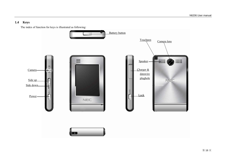## **1.4 Keys**

The index of function for keys is illustrated as following:

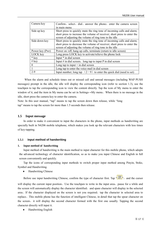| Camera key        | Confirm, select, dial, answer the phone; enter the camera screen         |  |  |
|-------------------|--------------------------------------------------------------------------|--|--|
|                   | in main menu                                                             |  |  |
| Side up key       | Short press to quickly mute the ring tone of incoming calls and alarm;   |  |  |
|                   | short press to increase the volume of receiver; short press to enter the |  |  |
|                   | screen of adjusting the volume of ring tone in the idle                  |  |  |
| Side down key     | Short press to quickly mute the ring tone of incoming calls and alarm;   |  |  |
|                   | short press to decrease the volume of receiver; short press to enter the |  |  |
|                   | screen of adjusting the volume of ring tone in the idle                  |  |  |
| Power key (Pwr)   | Power on /off, hang up calls, terminate (return to idle screen)          |  |  |
| LOCK key          | Long press LOCK key to activate/relieve the phone lock                   |  |  |
| $*$ key           | Input * in dial screen                                                   |  |  |
| $# \, \text{key}$ | Input $\#$ in dial screen; long tap to input P in dial screen            |  |  |
| 0                 | Long tap to input $+$ in dial screen                                     |  |  |
|                   | Long tap to enter the voice mail in dial screen                          |  |  |
| $2 - 9$           | Input number; long tap $(2-9)$ to enter the quick dial (need to set)     |  |  |

When the alarm and schedule times out or missed call and unread messages (including WAP PUSH messages) prompt in the idle, the idle will display the corresponding icon (refer to section 1.3), use the touchpen to tap the corresponding icon to view the content directly. Tap the icon of My menu to enter the window of it, and the item in My menu can be set in Settings→My menu。When there is no message in the idle, short press the camera key to enter the camera.

Note: In this user manual, "tap" means to tap the screen down then release, while "long tap" means to tap the screen for more than 1.5 seconds then release.

## **1.5 Input message**

In order to make it convenient to input the characters in the phone, input methods as handwriting are specially built in N6206 mobile telephone, which makes you look up the relevant characters with less times of key-tapping.

## **1.5.1 Input method of handwriting**

#### **1. Input method of handwriting**

Input method of handwriting is the main method to input character for this mobile phone, which adopts the advanced technology of character identification, so as to make you input Chinese and English in full screen conveniently and quickly.

Tap the icons of corresponding input methods to switch proper input method among Pinyin, Stoke, Symbol and Handwriting.

♦ Handwriting Chinese

Before use input handwriting Chinese, confirm the type of character first. Tap  $\mathbb{Z}$ , and the cursor

will display the current input position. Use the touchpen to write in the input area, pause for a while and the screen will automatically display the character identified, and spare character will display in the selected area. If the character displayed on the screen is not you required, tap the character in selected area to replace。This mobile phone has the function of intelligent Chinese, in detail that tap the spear character on the screen, it will display the second character formed with the first one usually. Tapping the second character directly will input it.

♦ Handwriting English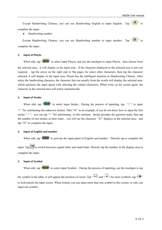Except Handwriting Chinese, you can use Handwriting English to input English Tap " $\frac{\dot{\mathbf{\mathcal{F}}}}{\mathbf{\mathcal{F}}}\right)$ " to complete the input。

♦ Handwriting number

Except Handwriting Chinese, you can use Handwriting number to input number. Tap " $\frac{1}{2}$ " to complete the input。

#### **2. Input of Pinyin**

When edit, tap  $\mathbb{C}$  is  $\mathbb{C}$  is to select input Pinyin, and use the touchpen to input Pinyin, then choose from the selected area, it will display in the input area; If the character displayed in the selected area is not you required, tap the arrow on the right side to flip pages for select other characters, then tap the character selected, it will display in the input area. Pinyin has the intelligent function as Handwriting Chinese. After select the handwriting character, the character that can usually form the words will display the selected area, which quickens the input speed with selecting the related characters. When write on the screen again, the character in the selected area will renew automatically.

#### **3. Input of Stroke**

When edit, tap "<sup>2</sup> to select input Stroke. During the process of inputting, tap "?" to input "? "for substituting the unknown strokes. Take " $\sharp f$ " as an example, if you do not know how to input the first stroke " $\langle$ ", you can tap "?"for substituting. At this moment, Stroke prompts the question mark, then tap the number of rest strokes as their order, you will see the character "好" displays in the selected area, and tap "好" to complete the input。

#### **4. Input of English and number**

When edit, tap "  $\mathbb{R}$   $\mathbb{R}$   $\cdot$  to activate the input panel of English and number. Directly tap to complete the input. Tap cap to switch between capital letter and small letter. Directly tap the number in the display area to complete the input.

#### **5. Input of Symbol**

When edit, tap  $\mathbb{G}$  is  $\mathbb{G}$  is to select input Symbol. During the process of inputting, use the touchpen to tap

the symbol in the table, it will appear the position of cursor. Tap  $\overline{\bullet}$  and  $\overline{\bullet}$  m for more symbols; tap  $\overline{\bullet}$  m to lock/unlock the input screen. When locked, you can input more than one symbol in this screen, or only can input one symbol.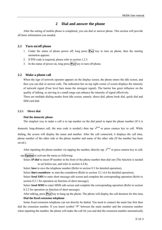## **2 Dial and answer the phone**

After the setting of mobile phone is completed, you can dial or answer phone. This section will provide all basic information you needed.

## **2.1 Turn on/off phone**

- 1. Under the status of phone power off, long press **Pwr** key to turn on phone, then the starting animation appears.
- 2. If PIN code is required, please refer to section 1.2.3.
- 3. In the status of power on, long press **Pwr** key to turn off phone.

#### **2.2 Make a phone call**

When the sign of network operator appears on the display screen, the phone enters the idle screen, and then you can dial or answer calls. The indication bar on top right corner of screen displays the intensity of network signal (Four level bars mean the strongest signal). The barrier has great influence on the quality of talking, so moving in a small range can enhance the intensity of signal effectively.

There are multiple dialing modes from idle screen, namely: direct dial, phone book dial, quick dial and SIM card dial.

#### **2.2.1 Direct dial**

#### **Dial the domestic phone**

The simplest way to make a call is to tap number on the dial panel to input the phone number (If it is

domestic long-distance call, the area code is needed.) then tap  $\sigma$  or press camera key to call. While dialing, the screen will display the name and number. After the call connected, it displays the call time, phone number of the other side or the phone number and name of the other side (If the number has been saved.).

After inputting the phone number via tapping the number, directly tap  $\sim$  or press camera key to call;

tap **Option** to activate the menu as following:

Select *IP dial* to insert IP number in the front of the phone number then dial out (The function is needed to set before use, and refer to section 4.4.8);

Select *Save* to save the telephone number (Refer to section 9.3 for detailed operation);

Select *Start countdown* to start the countdown (Refer to section 12.1.6.6 for detailed operation);

Select *Send SMS* to enter short message edit screen and complete the corresponding operation (Refer to section 8.2.1 for operation on function of short message);

Select *Send MMS* to enter MMS edit screen and complete the corresponding operation (Refer to section 8.2.2 for operation on function of short message).

After talking, press **Pwr** key to hang up the phone. The phone will display the call duration for this time. **Dial the fixed extension telephone** 

Some fixed extension telephone can not directly be dialed. You need to connect the main line first then dial the extension number. If you insert symbol "P" between the main number and the extension number when inputting the number, the phone will make the call for you and dial the extension number automatically.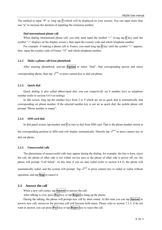The method to input "P" is: long tap  $\#$  (which will be displayed on your screen). You can input more than one "p" to increase the duration of inputting the extension number.

#### **Dial international phone call**

When dialing international phone call, you only need input the symbol "+" (Long tap  $\overline{0}$  key until the symbol "+" displays on the display screen.), then input the country code and whole telephone number.

For example: if making a phone call to France, you need long tap  $\overline{0}$  key until the symbol "+" appears, then input the country code of France "33" and whole telephone number.

#### **2.2.2 Make a phone call from phonebook**

After entering phonebook, activate **Option** to select "find", find corresponding person and select corresponding phone, then tap  $\sim$  or press camera key to dial out phone.

#### **2.2.3 Quick dial**

Quick dialing is also called abbreviated dial, you can respectively set 8 number keys as telephone number (refer to section 4.4.4 on setting).

In idle screen, long tap the number keys from 2 to 9 which are set as quick dial to automatically dial corresponding set phone number. If the selected number key is not set as quick dial, the mobile phone will prompt "Phone number is empty".

#### **2.2.4 SIM card dial**

In dial panel screen, tap number and  $\#$  in turn to dial from SIM card. That is the phone number stored at the corresponding position in SIM card will display automatically. Directly tap  $\widehat{\mathcal{P}}$  or press camere key to dial out phone.

#### **2.2.5 Unsuccessful calls**

The phenomena of unsuccessful calls may appear during the dialing, for example: the line is busy, reject the call, the phone of other side is not within service area or the phone of other side is power off, etc. the phone will prompt "Call failed". At this time if you set auto redial (refer to section 4.4.3), the phone will automatically redial, and the system will prompt. Tap  $\sim$  or press camera key to redial or redial without operation, and tap **Stop** to cancel it.

#### **2.3 Answer the call**

When a new call comes, tap **Answer** to answer the call.

After talking is over, press **Pwr** key or tap **Reject** to hang up the phone.

During the talking, the phone will prompt new call by short sound. At this time you can tap **Answer** to answer new call; moreover the previous call will become hold status. Please refer to section 7.2.3; if do not want to answer, you can press **Pwr** key or tap **Reject** key to reject the call.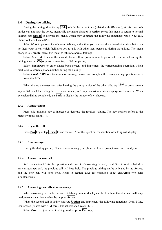#### **2.4 During the talking**

During the talking, directly tap **Hold** to hold the current talk (related with SIM card), at this time both parties can not hear the voice, meanwhile the menu changes to **Active**, select this menu to return to normal talking.; tap **Option** to activate the menu, which may complete the following functions: Mute, New call, Phonebook and Create SMS.

Select *Mute* to pause voice of current talking, at this time you can hear the voice of other side, but it can not hear your voice, which facilitates you to talk with other local person to during the talking. The menu changes to **Unmute**, select this menu to return to normal talking;

Select *New call* to make the second phone call, or press number keys to make a new call during the talking, then tap  $\overline{OK}$  or press camera key to dial out phone;

Select *Phonebook* to enter phone book screen, and implement the corresponding operation, which facilitates to search a phone number during the dialing;

Select *Create SMS* to enter new short message screen and complete the corresponding operation (refer to section 8.2).

When dialing the extension, after hearing the prompt voice of the other side, tap  $\sim$  or press camera key to dial panel for dialing the extension number, and only extension number displays on the screen. When extension dialing completed, tap **Back** to display the number of switchboard.

#### **2.4.1 Adjust volume**

Press side up/down key to increase or decrease the receiver volume. The key position refers to the picture within section 1.4。

#### **2.4.2 Reject the call**

Press **Pwr** key or tap **Reject** to end the call. After the rejection, the duration of talking will display.

#### **2.4.3 New message**

During the dialing phone, if there is new message, the phone will have prompt voice to remind you.

#### **2.4.4 Answer the new call**

Refer to section 2.3 for the operation and content of answering the call, the different point is that after answering a new call, the previous call will keep hold. The previous talking can be activated by tap **Active**, and the new call will keep hold. Refer to section 2.4.5 for operation about answering two calls simultaneously.

#### **2.4.5 Answering two calls simultaneously**

When answering two calls, the current talking number displays at the first line, the other call will keep hold; two calls can be switched by tapping **Active**.

When the second call is active, activate **Option** and implement the following functions: Drop, Mute, Conference (related with SIM card), Phonebook and Create SMS.

Select *Drop* to reject current talking, so does press **Pwr** key;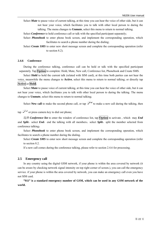Select *Mute* to pause voice of current talking, at this time you can hear the voice of other side, but it can not hear your voice, which facilitates you to talk with other local person to during the talking. The menu changes to **Unmute**, select this menu to return to normal talking.

Select *Conference* to hold conference call or talk with the specified participant separately;

Select **Phonebook** to enter phone book screen, and implement the corresponding operation, which facilitates to search a phone number during the dialing;

Select *Create SMS* to enter new short message screen and complete the corresponding operation (refer to section 8.2).

#### **2.4.6 Conference**

During the conference talking, conference call can be held or talk with the specified participant separately. Tap **Option** to complete: Hold, Mute, New call, Conference list, Phonebook and Create SMS.

Select **Hold** to hold the current talk (related with SIM card), at this time both parties can not hear the voice, meanwhile the menu changes to **Active**, select this menu to return to normal talking; or directly tap **Active** or **Hold**;

Select **Mute** to pause voice of current talking, at this time you can hear the voice of other side, but it can not hear your voice, which facilitates you to talk with other local person to during the talking. The menu changes to **Unmute**, select this menu to return to normal talking;

Select **New call** to make the second phone call, or tap  $\mathcal{F}$  to make a new call during the talking, then

 $\tan \mathcal{F}$  or press camera key to dial out phone;

选择 *Conference list* to enter the window of conference list, tap **Option** to activate , which may *End*  and *Split*, select *End*, end the talking with all members; select *Split*, split the member selected from conference talking;

Select **Phonebook** to enter phone book screen, and implement the corresponding operation, which facilitates to search a phone number during the dialing.

Select *Create SMS* to enter new short message screen and complete the corresponding operation (refer to section 8.2.

If a new call comes during the conference talking, please refer to section 2.4.6 for processing.

#### **2.5 Emergency call**

In any country using the digital GSM network, if your phone is within the area covered by network (it can be aware by checking network signal intensity on top right corner of screen.), you can call the emergency service. if your phone is within the area covered by network, you can make an emergency call even you have not SIM card.

**"911" is a standard emergency number of GSM, which can be used in any GSM network of the world.**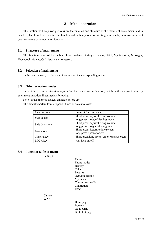## **3 Menu operation**

This section will help you get to know the function and structure of the mobile phone's menu, and in detail explain how to user-define the functions of mobile phone for meeting your needs, moreover represent you how to use basic operation function.

#### **3.1 Structure of main menu**

The function menu of the mobile phone contains: Settings, Camera, WAP, My favorites, Messages, Phonebook, Games, Call history and Accessory.

#### **3.2 Selection of main menu**

In the menu screen, tap the menu icon to enter the corresponding menu.

#### **3.3 Other selection modes**

In the idle screen, all function keys define the special menu function, which facilitates you to directly enter menu function, illustrated as following:

Note: if the phone is locked, unlock it before use.

The default shortcut keys of special function are as follows:

| Function key  | Items of function menu                                                   |  |  |
|---------------|--------------------------------------------------------------------------|--|--|
| Side up key   | Short press: adjust the ring volume;<br>long press : toggle Meeting mode |  |  |
| Side down key | Short press: adjust the ring volume;<br>long press : toggle Meeting mode |  |  |
| Power key     | Short press: Return to idle screen;<br>long press: power on/off          |  |  |
| Camera key    | Short press/long press : enter camera screen                             |  |  |
| LOCK key      | Key lock on/off                                                          |  |  |

## **3.4 Function table of menu**

Settings

Phone Phone modes Display Calls Security Network service My menu Connection profile Calibration Reset

Camera WAP

> Homepage Bookmark Go to URL Go to last page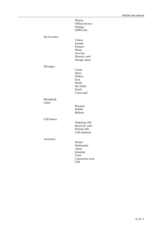|                   | History<br>Offline browse<br>Settings<br>GPRS info                                 |  |
|-------------------|------------------------------------------------------------------------------------|--|
| My favorites      | Videos<br>Sounds<br>Pictures<br>Music<br>Java box<br>Memory card<br>Storage status |  |
| Messages          | Create<br>Inbox<br>Outbox<br>Sent<br>Drafts<br>My folder<br>Email<br>Voice mail    |  |
| Phonebook<br>Game | Boxman<br><b>Bubble</b><br>Balloon                                                 |  |
| Call history      | Outgoing calls<br>Received calls<br>Missed calls<br>Calls duration                 |  |
| Accessory         | Painter<br>Multimedia<br>Alarm<br>Schedule<br>Tools<br>Connection tools            |  |

STK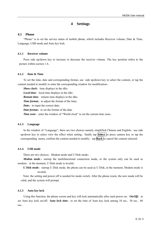## **4 Settings**

#### **4.1 Phone**

"Phone" is to set the service status of mobile phone, which includes Receiver volume, Date & Time, Language, USB mode and Auto key lock.

#### **4.1.1 Receiver volume**

Press side up/down key to increase or decrease the receiver volume. The key position refers to the picture within section 1.4。

## **4.1.2 Date & Time**

To set the time, date and corresponding format, use side up/down key to select the content, or tap the content needed to modify to enter the corresponding window for modification:

**Show clock:** time displays in the idle;

*Local time*: local time displays in the idle;

**Remote time:** remote time displays in the idle;

**Time format:** to adjust the format of the time;

*Date*: to input the correct date;

*Date format:* to set the format of the date.

**Time zone:** enter the window of "World clock" to set the current time zone.

#### **4.1.3 Language**

In the window of "Language", there are two choices namely simplified Chinese and English, use side up/down key to select view the effect when setting, finally tap **Select** or press camera key or tap the corresponding menu, confirm the content needed to modify; tap **Back** to cancel the content selected.

#### **4.1.4 USB mode**

There are two choices: Modem mode and U Disk mode:

*Modem mode*: startup the multifunctional connection mode, or the system only can be used as modem, at the moment, U Disk mode is invalid.

*U Disk mode*: startup U Disk mode, the phone can be used as U Disk, at the moment, Modem mode is invalid;

Note: the setting and power off is needed for mode switch. After the phone resets, the new mode will be valid, and the system will prompt.

#### **4.1.5 Auto key lock**

Using this function, the phone screen and key will lock automatically after each power on.  $On/Off$ : to set Auto key lock on/off; *Auto lock time*: to set the time of Auto key lock among 10 sec, 30 sec, 60 sec。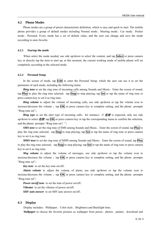#### **4.2 Phone Modes**

Phone modes are a group of preset characteristic definition, which is easy and quick to start. The mobile phone provides a group of default modes including Normal mode、Meeting mode、Car mode、Pocket mode、Personal. Every mode has a set of default value, and the user can change and save the mode according to ones favorite.

#### **4.2.1 Startup the mode**

When select the mode needed, use side up/down to select the content, and tap **Select** or press camera key or directly tap the item to start up, at this moment, the current working mode of mobile phone will set completely according to the selected mode.

#### **4.2.2 Personal Setup**

In the screen of mode, tap **Edit** to enter the Personal Setup, which the user can use it to set the parameter of each mode, including the following items:

*Ring tone* to set the ring tone of incoming calls among Sounds and Music, Enter the screen of sound, tap **Play** to play the ring tone selected, tap **Stop** to stop playing; tap **Set** or tap the name of ring tone or press camera key to set it as ring tone;

*Ring volume* to adjust the volume of incoming calls, use side up/down or tap the volume icon to increase/decrease the volume  $\pm$  tap  $\overrightarrow{OK}$  or press camera key to complete setting, and the phone prompts "Ring tone set";

**Ring type** to set the alert type of incoming calls, for instance: if  $##$  is expected, only use side up/down to select  $##$ , tap  $|OK|$  or press camera key or tap the corresponding menu to confirm the selection, and the phone prompts "Ring tone set!";

**SMS tone** to set the ring tone of SMS among Sounds and Music, Enter the screen of sound, tap **Play** to play the ring tone selected, tap **Stop** to stop playing; tap **Set** or tap the name of ring tone or press camera key to set it as ring tone;

*MMS tone* to set the ring tone of MMS among Sounds and Music, Enter the screen of sound, tap **Play** to play the ring tone selected, tap **Stop** to stop playing; tap **Set** or tap the name of ring tone or press camera key to set it as ring tone;

*Msg volume* to adjust the volume of messages, use side up/down or tap the volume icon to increase/decrease the volume  $\phi$  tap  $\vert$ OK or press camera key to complete setting, and the phone prompts "Ring tone set";

*Key tone* to set the key tone on/off;

*Alarm volume* to adjust the volume of alarm, use side up/down or tap the volume icon to increase/decrease the volume ; tap  $\overline{OK}$  or press camera key to complete setting, and the phone prompts "Ring tone set":

*Power on/off tone* to set the tone of power on/off;

*Vibrator* to set the vibrator of power on/off;

*SHF auto answer* to set SHF auto answer on/off。

#### **4.3 Display**

Display includes: Wallpaper、Color style、Brightness and Backlight time。

*Wallpaper* to choose the favorite pictures as wallpaper from preset、photos、painter、download and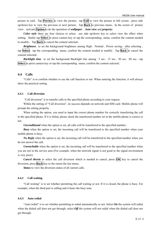picture in card. Tap **Preview** to view the picture, tap **Full** to view the picture in full screen, press side up/down key to view the previous or next picture。Tap **Back** to previous menu。In the screen of picture view,activate **Option** to do the operation of *wallpaper*、*Auto view* and *property*;

Color style there are four choices to select, use side up/down key to select view the effect when setting, finally tap **Select** or press camera key or tap the corresponding menu, confirm the content needed to modify。Tap **Back** to cancel the content selected;

Brightness to set the background brightness among High、Normal、Power saving, after selecting, tap **Select**, tap the corresponding menu, confirm the content needed to modify. Tap **Back** to cancel the content selected;

**Backlight time** to set the background Backlight tine among 5 sec, 15 sec, 30 sec, 60 sec, tap **Select** or press camera key or tap the corresponding menu, confirm the content selected。

#### **4.4 Calls**

"Calls" is to confirm whether to use the call function or not. When entering the function, it will always show the practical setting.

#### **4.4.1 Call diversion**

"Call diversion" is to transfer calls to the specified phone according to your request.

Within the setting of "Call diversion", its success depends on network and SIM card. Mobile phone will prompt the setting properly.

When setting the option, you need to input the correct phone number for correctly transferring the call to the specified phone. If it is failed, please check the transferred number set in the mobile phone is correct or not.

*Unconditional* when the option is set, all calls will be transferred to the specified number;

*Busy* when the option is set, the incoming call will be transferred to the specified number when your mobile phone is busy;

*No Reply* when the option is set, the incoming call will be transferred to the specified number when you do not answer the call;

*Unreachable* when the option is set, the incoming call will be transferred to the specified number when you are not in the service area (For example, when the network signal is not good or the signal environment is very poor);

*Cancel diverts* to select the call diversion which is needed to cancel, press **OK** key to cancel the diversion, press **Back** key to the return the last menu;

*Status* to view the diversion status of all current calls.

#### **4.4.2 Call waiting**

"Call waiting" is to set whether permitting the call waiting or not. If it is closed, the phone is busy. For example, when the third part is calling and it hears the busy tone.

#### **4.4.3 Auto redial**

"Auto redial" is to set whether permitting to redial automatically or not. Select *On* the system will redial when the dialed call does not get through; select *Off* the system will not redial when the dialed call does not get through.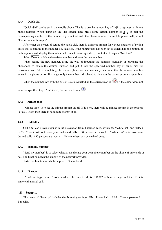#### **4.4.4 Quick dial**

"Quick dial" can be set in the mobile phone. This is to use the number key of  $\mathbb{Z}\rightarrow\{9\}$  to represent different phone number. When using on the idle screen, long press some certain number of  $2\sqrt{9}$  to dial the corresponding number. If the number key is not set with the phone number, the mobile phone will prompt "Phone number is empty".

After enter the screen of setting the quick dial, there is different prompt for various situation of setting quick dial according to the number key selected. If the number key has been set as quick dial, the bottom of mobile phone will display the number and contact person specified; if not, it will display "Not bind".

Select **Delete** to delete the existed number and reset the new number.

When setting the new number, using the way of inputting the numbers manually or browsing the phonebook to obtain the desired number, and put it into the specified number key of quick dial for convenient use. After completing, the mobile phone will automatically determine that the selected number exists in the phone or not. If strange, only the number is displayed to give you the correct prompt as possible.

When the number key with the cursor is set as quick dial, the current icon is  $\bullet$ ; if the cursor does not

exist the specified key of quick dial, the current icon is  $\left( \bullet \right)$ .

#### **4.4.5 Minute tone**

"Minute tone" is to set the minute prompt on off. If it is on, there will be minute prompt in the process of call. If off, then there is no minute prompt at all.

#### **4.4.6 Call filter**

Call filter can provide you with the prevention from disturbed calls, which has "White list" and "Black list"。 "Black list" is to save your undesired calls (30 persons are most)。"White list" is to save your desired calls (30 persons are most)。Only one item can be enabled once.

#### **4.4.7 Send my number**

"Send my number" is to select whether displaying your own phone number on the phone of other side or not. The function needs the support of the network provider.

**Note:** the function needs the support of the network.

#### **4.4.8 IP code**

IP code setting: input IP code needed, the preset code is "17951" without setting, and the effect is same with normal call。

#### **4.5 Security**

The menu of "Security" includes the following settings: PIN、Phone lock、PIM、Change password、 Bar calls。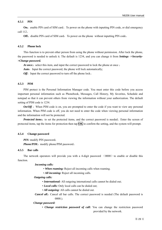#### **4.5.1 PIN**

**On:** enable PIN card of SIM card To power on the phone with inputting PIN code, or dial emergency call 112。

**Off:** disable PIN card of SIM card, To power on the phone without inputting PIN code.

#### **4.5.2 Phone lock**

This function is to prevent other person from using the phone without permission. After lock the phone, the password is needed to unlock it. The default is 1234, and you can change it from *Settings ->Security- >Change password.* 

At once: select this item, and input the correct password to lock the phone at once ;

**Auto:** Input the correct password, the phone will lock automatically;

*Off*: Input the correct password to turn off the phone lock.

#### **4.5.3 PIM**

PIM protect is the Personal Information Manager code. You must enter this code before you access important personal information such as Phonebook, Messages, Call History, My favorites, Schedule and notepad so that it can prevent others from viewing the information without your authorization. The default setting of PIM code is 1234.

*On/Off*: When PIM code is on, you are prompted to enter the code if you want to view any personal information. When PIM code is off, you do not need to enter the code when viewing personal information and the information will not be protected.

*Protected items:* to set the protected items, and the correct password is needed. Enter the screen of protected items, tap the items for protection then tap **OK** to confirm the setting, and the system will prompt.

#### **4.5.4 Change password**

*PIN:* modify PIN password; *Phone/PIM:* modify phone/PIM password.

#### **4.5.5 Bar calls**

The network operators will provide you with a 4-digit password  $(0000)$  to enable or disable this function.

*Incoming calls:*

- *When roaming:* Reject all incoming calls when roaming.
- *All incoming:* Reject all incoming calls.

#### *Outgoing calls:*

- *International:* All outgoing international calls cannot be dialed out;
- *Local calls:* Only local calls can be dialed out;
- *All outgoing:* All calls cannot be dialed out.
- *Cancel all*: Cancel all bar calls. The correct password is needed (The default password is 0000.).

#### *Change password:*

• *Change restriction password of call:* You can change the restriction password provided by the network.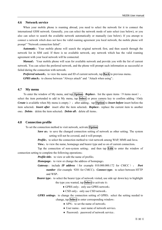#### **4.6 Network service**

When your mobile phone is roaming abroad, you need to select the network for it to connect the international GSM network. Generally, you can select the network mode of auto select (see below), or you also can select to search the available network automatically or manually (see below). If you attempt to connect a network which does not have the valid roaming agreement you local network, the mobile phone will prompt" "Network connection failed".

**Automatic:** Your mobile phone will search the original network first, and then search through the network list in SIM card. If there is no available network, any network which has the valid roaming agreement with your local network will be connected.

*Manual*: Your mobile phone will scan for available network and provide you with the list of current network. You can select the preferred network, and the phone will prompt such information as successful or failed during the connection with network.

*Preferred network:* to view the name and ID of current network, tap **Back** to previous menu; **GPRS attach:** to choose between "Always attach" and "Attach when using".

#### **4.7 My menu**

To enter the window of My menu, and tap **Option**: **Replace**, list the spare items (9 items most), select the item portended to add in My menu, tap **Select** or press camera key to confirm adding (Only *Create* is available when My menu is empty.); after adding, tap **Option** to *Insert before* insert before the item selected; *Insert after* insert after the item selected; *Replace*: replace the current item to another one: *Delete*: delete the item selected: *Delete all*: delete all items.

#### **4.8 Connection profile**

To set the connection method to visit network, activate **Option**:

- *Save as*: to save the changed connection setting of network as other setting. The system setting will not be covered, and it will prompt;
- *Profile*: to select the connection method to visit network among WAP, MMS and Java;

*View*: to view the name, homepage and bearer type and so on of current connection;

Tap the connection of non-system setting, and then tap **Edit** to enter the window of connection setting to complete the following operations:

*Profile title*: to view or edit the name of profile;

*Homepage*: to view or change the address of homepage;

- *Gateway*: include *IP address* (for example 010.000.000.172 for CMCC); *Port number* (for example 9201 for CMCC); *Connect type*: to select between HTTP and WSP。
- *Bearer type*: to select the bearer type of network visited, use side up/ down key to highlight the type you wanted, tap **Select** to activate it:
	- $\triangleleft$  GPRS only: only use GPRS network;
	- $\triangle$  CSD only: only use CSD network.
- *GPRS settings*: to change the connection setting of GPRS, select the setting needed to change, tap **Select** to enter corresponding window:
	- $\triangle$  APN: to set the name of network;
	- User name: user name of network service:
	- Password: password of network service.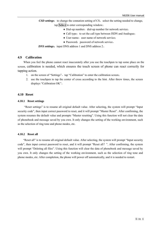**CSD settings:** to change the connation setting of CS, select the setting needed to change, tap **Select** to enter corresponding window:

- $\bullet$  Dial-up number: dial-up number for network service;
- Call type: to set the call type between ISDN and Analogue;
- $\triangle$  User name: user name of network service:
- $\triangle$  Password: password of network service.

**DNS settings:** input DNS address 1 and DNS address 2.

#### **4.9 Calibration**

When you feel the phone cannot react inaccurately after you use the touchpen to tap some place on the screen, calibration is needed, which ensures the touch screen of phone can react correctly for tapping action.

- 1. on the screen of "Settings", tap "Calibration" to enter the calibration screen;
- 2. use the touchpen to tap the center of cross according to the hint. After threw times, the screen displays "Calibration OK"。

## **4.10 Reset**

#### **4.10.1 Reset settings**

 "Reset settings" is to resume all original default value. After selecting, the system will prompt "Input security code", then input correct password to reset, and it will prompt "Master Reset". After confirming, the system resumes the default value and prompts "Master resetting". Using this function will not clear the data of phonebook and message saved by you own. It only changes the setting of the working environment, such as the selection of ring tone and phone modes, etc.

#### **4.10.2 Reset all**

"Reset all" is to resume all original default value. After selecting, the system will prompt "Input security code", then input correct password to reset, and it will prompt "Reset all?". After confirming, the system will prompt "Deleting all files". Using this function will clear the data of phonebook and message saved by you own. It only changes the setting of the working environment, such as the selection of ring tone and phone modes, etc. After completion, the phone will power off automatically, and it is needed to restart.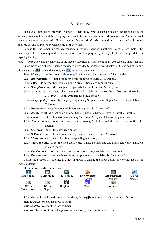## **5 Camera**

The use of application program "Camera" may allow you to take photos for the people or event around you at any time, and the changing mode could be made easily across different modes. Photos is saved in the application program of "Photos" within "My favorites", which could be renamed under the same application, and all photos by Camera are in JPG format.

In case that the remaining storage capacity in mobile phone is insufficient to take new photos, the deletion of old ones is required to release space. For this purpose, you may check the storage state via capacity inquiry.

Note: The preview and the shooting at the place where light is insufficient might decrease the image quality.

Enter the camera shooting screen the image portended to be taken will display on the screen of mobile phone, and tap  $\Box$  to take the photo; tap  $\bigcap$  to activate the menu.

Select *Modes*: to set the shoot mode among Single mode, Burst mode and Video mode;

Select *Environment*: to set the shoot environment between Normal, Darkness;

Select *Effect*: to set the shoot effect among Normal, Sepia and Monochrome;

Select *Save place*: to set the save place of photo between Phone and Memory card;

Select *Size*: to set the photo size among  $64\times64$ ,  $176\times144$ ,  $240\times320$ ,  $320\times240$ ,  $640\times480$ ,  $1280\times1024$ ; (only available for Single mode)

Select *Image quality*: to set the image quality among Normal, Fine, Super fine; (not available for Video mode)

Select **Brightness**: to set the shoot brightness among  $-2$ ,  $-1$ ,  $0$ ,  $+1$ ,  $+2$ ;

Select *Zoom*: to set the shoot zoom among Level 1, Level 2, Level 3, Level 4, Level 5, Level 6;

Select **Frame:** to set the frame of photo among 5 choices; (only available for Single mode)

Select **Shutter sound**: to set the shutter sound among 3 choices and directly tap to confirm the selection;

Select **Show icon:** to set the show icon on/off;

Select *Self timer*: to set the self timer among 5 sec, 10 sec, 15 sec, 20 sec or Off;

Select *Video*: to enter the video list for corresponding operation;

Select *Video file size*: to set the file size of video among Normal size and Mail size; (only available for Video mode)

Select **Burst number**: to set the burst number of photo (only available for Burst mode);

Select **Burst interval**: to set the burst interval of photo (only available for Burst mode);

During the process of shooting, use side up/down to change the shoot zoom for viewing the part of image in detail。

The icons on the shoot screen are:



Select the single mode, and complete the shoot, then tap **Save** to save the photo, activate **Option**: *Send as MMS*: to send the photo as MMS;

*Send as MMS*: to send the photo as Email;

*Send via Bluetooth:* to send the photo via Bluetooth (refer to section 12.1.7.1);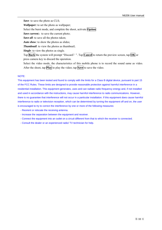*Save*: to save the photo as CLS;

*Wallpaper:* to set the photo as wallpaper;

Select the burst mode, and complete the shoot, activate **Option**:

*Save current*: to save the current photo;

*Save all*: to save all the photos taken;

*Auto show*: to show the photos as slides;

*Thumbnail*: to view the photos as thumbnail;

*Single*: to view the photos as single.

Tap **Back** the system will prompt "Discard?". Tap **Cancel** to return the preview screen, tap **OK** or press camera key to discard the operation.

Select the video mode, the characteristics of this mobile phone is to record the sound same as video. After the shoot, tap **Play** to play the video; tap **Save** to save the video.

#### NOTE:

This equipment has been tested and found to comply with the limits for a Class B digital device, pursuant to part 15 of the FCC Rules. These limits are designed to provide reasonable protection against harmful interference in a residential installation. This equipment generates, uses and can radiate radio frequency energy and, if not installed and used in accordance with the instructions, may cause harmful interference to radio communications. However, there is no guarantee that interference will not occur in a particular installation. If this equipment does cause harmful interference to radio or television reception, which can be determined by turning the equipment off and on, the user is encouraged to try to correct the interference by one or more of the following measures:

- Reorient or relocate the receiving antenna.
- Increase the separation between the equipment and receiver.
- Connect the equipment into an outlet on a circuit different from that to which the receiver is connected.
- Consult the dealer or an experienced radio/ TV technician for help.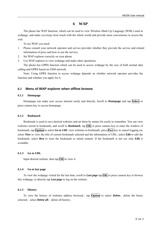## **6 WAP**

The phone has WAP function, which can be used to view Wireless Mark-Up Language (WML) used in webpage, and make you keep close touch with the whole world and provide more convenience to access the web.

To use WAP, you need:

- 1. Please consult your network operator and service provider whether they provide the service and related information of price and how to use the service;
- 2. Set WAP explorer correctly on your phone
- 3. Use WAP explorer to view webpage and make other operations.

The phone has GPRS function which can be used to access webpage by the way of both normal data calling and GPRS based on GSM network.

Note: Using GPRS function to access webpage depends on whether network operator provides the function and whether you apply for it.

#### **6.1 Menu of WAP explorer when offline browse**

#### **6.1.1 Homepage**

Homepage can make user access internet easily and directly. Scroll to *Homepage* and tap **Select** or press camera key to access homepage.

#### **6.1.2 Bookmark**

Bookmark is used to save desired websites and set them by names for easily to remember. You can view websites stored in bookmark, and scroll to **Bookmark**, tap **OK** or press camera key to enter the window of bookmark; tap **Option** to select *Go to URL* view websites in bookmark, press **Pwr** key to cancel logging on; select *View* to view the title of current bookmark selected and the information of URL; select *Edit* to edit the bookmark; select *Rest* to reset the bookmark as initial content. If the bookmark is not set, only *Edit* is available.

#### **6.1.3 Go to URL**

Input desired website, then tap  $\overline{OK}$  to view it.

#### **6.1.4 Go to last page**

To view the webpage visited for the last time, scroll to *Last page* tap **OK** or press camera key to browse this webpage, or directly tap *Last page* to log on the website.

#### **6.1.5 History**

To view the history of websites address browsed, tap **Option** to select **Delete**: delete the histry selected; select *Delete all*: delete all history.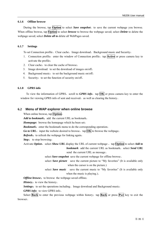#### **6.1.6 Offline browse**

During the browse, tap **Option** to select *Save snapshot*, to save the current webpage you browse. When offline browse, tap **Option** to select *browse* to browse the webpage saved; select *Delete* to delete the webpage saved; select *Delete all to d*elete all WebPages saved.

## **6.1.7 Settings**

To set Connection profile、Clear cache、Image download、Background music and Security:

- 1. Connection profile: enter the window of Connection profile, tap **Active** or press camera key to activate the profile;
- 2. Clear cache: to clear the cache of browse;
- 3. Image download: to set the download of images on/off;
- 4. Background music: to set the background music on/off;
- 5. Security: to set the function of security on/off.

## **6.1.8 GPRS info**

To view the information of GPRS, scroll to *GPRS info*, tap  $\overline{OK}$  or press camera key to enter the window for viewing GPRS info of sent and received, as well as clearing the history.

## **6.2 Menu of WAP explorer when online browse**

When online browse, tap **Option**:

Add to bookmark: add the current URL as bookmark;

*Homepage:* browse the homepage which ha been set;

**Bookmark:** enter the bookmark menu to do the corresponding operation;

*Go to URL*: input the website desired to browse, tap  $\overline{OK}$  to browse the webpage;

*Refresh:* to refresh the webpage for linking again;

*Stop*: to stop browsing;

Activate *Option*, select *Show URL* display the URL of current webpage, tap **Option** to select *Add to* **bookmark** add the current URL as bookmark; select *Send URL* send the current URL as message。

select *Save snapshot* save the current webpage for offline browse。

- select *Save picture* save the current picture to "My favorites" (It is available only when the cursor is on the picture.)
- select *Save music* save the current music to "My favorites" (It is available only when the music is playing.)。

*Offline browse:* to browse the webpage saved offline;

*History:* to view the history:

**Settings:** to set the operations including. Image download and Background music;

*GPRS info:* to view GPRS info。

Select **Back** to enter the previous webpage within history; tap **Back** or press **Pwr** key to exit the browser。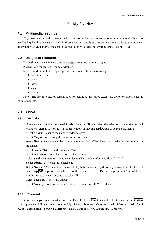## **7 My favorites**

## **7.1 Multimedia resource**

"My favorites" is used to browse, set, and utilize pictures and music resources in the mobile phone, as well as inquire about the capacity. (If PIM security password is set, the correct password is required to enter the window of My Favorite, the detailed content of PIM security password refers to section 4.5.3).

## **7.2 Usages of resource**

The multimedia resource has different usages according to various types.

Picture: used for the background of desktop;

Music: used for all kinds of prompt voices in mobile phone as following:

- $\bullet$  Incoming calls
- $\bullet$  SMS
- $\bullet$  MMS
- $\bullet$  Calendar
- $\bullet$  Alarm

Note: The prompt voice of system does not belong to this scope except the option of on/off, such as minute tone, etc.

## **7.3 Videos**

## **7.3.1 My Videos**

Some videos you shot are saved in My video, tap **Play** to view the effect of videos, the detailed operation refers to section 12.1.2. In the window of play list, tap **Option** to activate the menu:

Select **Rename**: change the name of video selected;

Select *Copy to card*: copy the video to memory card;

Select *Move to card:* move the video to memory card; (The video is not available after moving on the phone.)

Select *Send MMS*: send the video as MMS;

Select *Send Email*: send the video selected as Email:

Select *Send via Bluetooth*: send the video via Bluetooth (refer to section 12.1.7.1);

Select *Delete*: delete the video selected;

Select **Multi-delete**: enter the window of play list, press side up/down key to select the checkbox of item, tap  $\overline{OK}$  or press camera key to confirm the deletion. (During the process of Multi-delete,

tap **Option** to select all or cancel to select all.) :

Select *Delete all*: delete all videos;

Select *Property*: to view the name, date, size, format and DRM of video.

#### **7.3.2 Download**

Some videos you downloaded are saved in Download, tap **Play** to view the effect of videos, tap **Option** to complete the following operations as My videos:*Rename*、*Copy to card*、*Move to card*、*Send MMS*、*Send Email*、*Send via Bluetooth*、*Delete*、*Multi-delete*、*Delete all*、*Property*。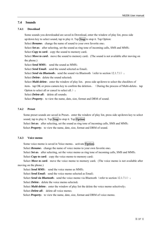## **7.4 Sounds**

#### **7.4.1 Download**

Some sounds you downloaded are saved in Download, enter the window of play list, press side up/down key to select sound, tap to play it. Tap **Stop** to stop it. Tap Option: Select **Rename**: change the name of sound to your own favorite one;

Select *Set as*: after selecting, set the sound as ring tone of incoming calls, SMS and MMS;

Select *Copy to card*: copy the sound to memory card;

Select *Move to card*: move the sound to memory card; (The sound is not available after moving on the phone.)

Select *Send MMS*: send the sound as MMS;

Select **Send Email**: send the sound selected as Email;

Select *Send via Bluetooth*: send the sound via Bluetooth (refer to section 12.1.7.1);

Select *Delete*: delete the sound selected;

Select *Multi-delete*: enter the window of play list, press side up/down to select the checkbox of item, tap OK or press camera key to confirm the deletion. (During the process of Multi-delete, tap Option to select all or cancel to select all.) :

Select *Delete all*: delete all sounds:

Select *Property*: to view the name, date, size, format and DRM of sound.

#### **7.4.2 Preset**

Some preset sounds are saved in Preset, enter the window of play list, press side up/down key to select sound, tap to play it. Tap **Stop** to stop it. Tap **Option**:

Select *Set as*: after selecting, set the sound as ring tone of incoming calls, SMS and MMS;

Select *Property*: to view the name, date, size, format and DRM of sound.

## **7.4.3 Voice memo**

Some voice memo is saved in Voice memo, activate **Option**:

Select **Rename**: change the name of voice memo to your own favorite one;

Select *Set as*: after selecting, set the voice memo as ring tone of incoming calls, SMS and MMS;

Select *Copy to card*: copy the voice memo to memory card;

Select *Move to card*: move the voice memo to memory card; (The voice memo is not available after moving on the phone.)

Select *Send MMS*: send the voice memo as MMS:

Select *Send Email*: send the voice memo selected as Email;

Select *Send via Bluetooth*: send the voice memo via Bluetooth (refer to section 12.1.7.1);

Select *Delete*: delete the voice memo selected;

Select *Multi-delete*: enter the window of play list the delete the voice memo selectively;

Select *Delete all*: delete all voice memo:

Select *Property*: to view the name, date, size, format and DRM of voice memo.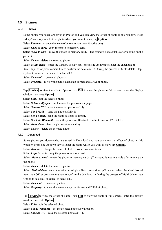## **7.5 Pictures**

## **7.5.1 Photos**

Some photos you taken are saved in Photos and you can view the effect of photo in this window. Press sideup/down key to select the photo which you want to view, tap **Option**:

Select **Rename**: change the name of photo to your own favorite one;

Select *Copy to card*: copy the photo to memory card;

Select *Move to card*: move the photo to memory card; (The sound is not available after moving on the phone.)

Select *Delete*: delete the selected photo;

Select *Multi-delete*: enter the window of play list, press side up/down to select the checkbox of

item, tap OK or press camera key to confirm the deletion. (During the process of Multi-delete, tap Option to select all or cancel to select all.);

Select *Delete all*: delete all photos;

Select *Property*: to view the name, date, size, format and DRM of photo.

Tap **Preview** to view the effect of photo, tap **Full** to view the photo in full screen, enter the display window, activate **Option**:

Select *Edit*: edit the selected photo;

Select *Set as wallpaper*: set the selected photo as wallpaper;

Select *Save as CLI*: save the selected photo as CLI;

Select *Send MMS*: send the photo as MMS;

Select *Send Email*: send the photo selected as Email;

Select *Send via Bluetooth*: send the photo via Bluetooth (refer to section 12.1.7.1);

Select *Auto view*: view the photo automatically;

Select *Delete*: delete the selected photo.

## **7.5.2 Download**

Some photos you downloaded are saved in Download and you can view the effect of photo in this window. Press side up/down key to select the photo which you want to view, tap **Option**:

Select **Rename**: change the name of photo to your own favorite one;

Select *Copy to card*: copy the photo to memory card;

Select *Move to card*: move the photo to memory card; (The sound is not available after moving on the phone.)

Select *Delete*: delete the selected photo;

Select *Multi-delete*: enter the window of play list, press side up/down to select the checkbox of item, tap OK or press camera key to confirm the deletion. (During the process of Multi-delete, tap Option to select all or cancel to select all.);

Select *Delete all*: delete all photos;

Select *Property*: to view the name, date, size, format and DRM of photo.

Tap **Preview** to view the effect of photo, tap **Full** to view the photo in full screen, enter the display window, activate **Option**:

Select *Edit*: edit the selected photo;

Select *Set as wallpaper*: set the selected photo as wallpaper;

Select *Save as CLI*: save the selected photo as CLI;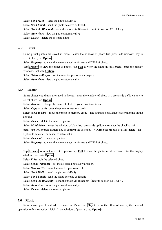Select *Send MMS*: send the photo as MMS; Select *Send Email*: send the photo selected as Email; Select *Send via Bluetooth*: send the photo via Bluetooth (refer to section 12.1.7.1); Select *Auto view*: view the photo automatically; Select *Delete*: delete the selected photo.

#### **7.5.3 Preset**

Some preset photos are saved in Preset, enter the window of photo list, press side up/down key to select photo, tap **Option**:

Select *Property*: to view the name, date, size, format and DRM of photo.

Tap **Preview** to view the effect of photo, tap **Full** to view the photo in full screen, enter the display window, activate **Option**:

Select *Set as wallpaper*: set the selected photo as wallpaper;

Select *Auto view*: view the photo automatically.

#### **7.5.4 Painter**

Some photos you drawn are saved in Preset, enter the window of photo list, press side up/down key to select photo, tap **Option**:

Select *Rename*: change the name of photo to your own favorite one;

Select *Copy to card*: copy the photo to memory card;

Select *Move to card*: move the photo to memory card; (The sound is not available after moving on the phone.)

Select *Delete*: delete the selected photo;

Select *Multi-delete*: enter the window of play list, press side up/down to select the checkbox of item, tap OK or press camera key to confirm the deletion. (During the process of Multi-delete, tap Option to select all or cancel to select all.) ;

Select *Delete all*: delete all photos;

Select *Property*: to view the name, date, size, format and DRM of photo.

Tap **Preview** to view the effect of photo, tap **Full** to view the photo in full screen, enter the display window, activate **Option**:

Select *Edit*: edit the selected photo;

Select *Set as wallpaper*: set the selected photo as wallpaper;

Select *Save as CLI*: save the selected photo as CLI;

Select *Send MMS*: send the photo as MMS;

Select *Send Email*: send the photo selected as Email;

Select **Send via Bluetooth**: send the photo via Bluetooth (refer to section 12.1.7.1);

Select *Auto view*: view the photo automatically;

Select *Delete*: delete the selected photo.

#### **7.6 Music**

Some music you downloaded is saved in Music, tap **Play** to view the effect of videos, the detailed operation refers to section 12.1.1. In the window of play list, tap **Option**: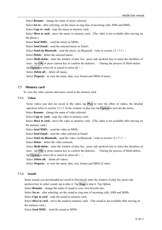Select **Rename**: change the name of music selected;

Select *Set as*: after selecting, set the music as ring tone of incoming calls, SMS and MMS;

Select *Copy to card*: copy the music to memory card;

Select *Move to card:* move the music to memory card; (The video is not available after moving on the phone.)

Select *Send MMS*: send the music as MMS;

Select **Send Email**: send the selected music as Email;

Select *Send via Bluetooth*: send the music via Bluetooth (refer to section 12.1.7.1);

Select *Delete*: delete the selected music;

Select *Multi-delete*: enter the window of play list, press side up/down key to select the checkbox of item, tap  $\overline{OK}$  or press camera key to confirm the deletion. (During the process of Multi-delete, tap **Option** to select all or cancel to select all.);

Select *Delete all*: delete all music;

Select *Property*: to view the name, date, size, format and DRM of music.

## **7.7 Memory card**

To view the video, picture and music saved in the memory card.

## **7.7.1 Videos**

Some videos you shot are saved in My video, tap **Play** to view the effect of videos, the detailed operation refers to section 12.1.2. In the window of play list, tap **Option** to activate the menu:

Select **Rename**: change the name of video selected;

Select *Copy to card:* copy the video to memory card;

Select *Move to card:* move the video to memory card; (The video is not available after moving on the memory card.)

Select *Send MMS*: send the video as MMS;

Select *Send Email*: send the video selected as Email;

Select **Send via Bluetooth:** send the video via Bluetooth (refer to section 12.1.7.1);

Select *Delete*: delete the video selected;

Select **Multi-delete**: enter the window of play list, press side up/down key to select the checkbox of item, tap  $\overline{OK}$  or press camera key to confirm the deletion. (During the process of Multi-delete,

tap **Option** to select all or cancel to select all.);

Select *Delete all*: delete all videos;

Select *Property*: to view the name, date, size, format and DRM of video.

## **7.7.2 Sounds**

Some sounds you downloaded are saved in Download, enter the window of play list, press side up/down key to select sound, tap to play it. Tap **Stop** to stop it. Tap Option:

Select *Rename*: change the name of sound to your own favorite one;

Select *Set as*: after selecting, set the sound as ring tone of incoming calls, SMS and MMS;

Select *Copy to card*: copy the sound to memory card;

Select *Move to card*: move the sound to memory card; (The sound is not available after moving on the memory card.)

Select *Send MMS*: send the sound as MMS;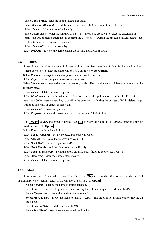Select *Send Email*: send the sound selected as Email:

Select *Send via Bluetooth*: send the sound via Bluetooth (refer to section 12.1.7.1);

Select *Delete*: delete the sound selected:

Select *Multi-delete*: enter the window of play list, press side up/down to select the checkbox of item, tap OK or press camera key to confirm the deletion. (During the process of Multi-delete, tap Option to select all or cancel to select all.) :

Select *Delete all*: delete all sounds;

Select *Property*: to view the name, date, size, format and DRM of sound.

#### **7.8 Pictures**

Some photos you taken are saved in Photos and you can view the effect of photo in this window. Press sideup/down key to select the photo which you want to view, tap **Option**:

Select *Rename*: change the name of photo to your own favorite one;

Select *Copy to card*: copy the photo to memory card;

Select *Move to card*: move the photo to memory card; (The sound is not available after moving on the memory card.)

Select *Delete*: delete the selected photo;

Select *Multi-delete*: enter the window of play list, press side up/down to select the checkbox of item, tap OK or press camera key to confirm the deletion. (During the process of Multi-delete, tap Option to select all or cancel to select all.);

Select *Delete all*: delete all photos;

Select *Property*: to view the name, date, size, format and DRM of photo.

Tap **Preview** to view the effect of photo, tap **Full** to view the photo in full screen, enter the display window, activate **Option**:

Select *Edit*: edit the selected photo;

Select *Set as wallpaper*: set the selected photo as wallpaper;

Select *Save as CLI*: save the selected photo as CLI;

Select *Send MMS*: send the photo as MMS;

Select *Send Email*: send the photo selected as Email;

Select **Send via Bluetooth**: send the photo via Bluetooth (refer to section 12.1.7.1);

Select *Auto view*: view the photo automatically;

Select *Delete*: delete the selected photo.

## **7.8.1 Music**

Some music you downloaded is saved in Music, tap **Play** to view the effect of videos, the detailed operation refers to section 12.1.1. In the window of play list, tap **Option**:

Select *Rename*: change the name of music selected;

Select *Set as*: after selecting, set the music as ring tone of incoming calls, SMS and MMS;

Select *Copy to card:* copy the music to memory card;

Select *Move to card:* move the music to memory card; (The video is not available after moving on the phone.)

Select *Send MMS*: send the music as MMS:

Select **Send Email**: send the selected music as Email;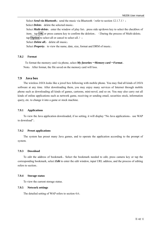Select *Send via Bluetooth*: send the music via Bluetooth (refer to section 12.1.7.1); Select *Delete*: delete the selected music; Select *Multi-delete*: enter the window of play list, press side up/down key to select the checkbox of item, tap  $\overline{OK}$  or press camera key to confirm the deletion. (During the process of Multi-delete, tap **Option** to select all or cancel to select all.) : Select *Delete all*: delete all music; Select *Property*: to view the name, date, size, format and DRM of music.

#### **7.8.2 Format**

To format the memory card via phone, select *My favorites*-*Memory card*-*Format*。 Note: After format, the file saved on the memory card will loss.

#### **7.9 Java box**

The wireless JAVA looks like a jewel box following with mobile phone. You may find all kinds of JAVA software at any time. After downloading them, you may enjoy many services of Internet through mobile phone such as downloading all kinds of games, cartoons, mini-novel, and so on. You may also carry out all kinds of online applications such as network game, receiving or sending email, securities stock, information query, etc. to change it into a game or stock machine.

#### **7.9.1 Applications**

To view the Java application downloaded, if no setting, it will display "No Java applications, use WAP to download"。

## **7.9.2 Preset applications**

The system has preset many Java games, and to operate the application according to the prompt of system.

#### **7.9.3 Download**

To edit the address of bookmark。Select the bookmark needed to edit, press camera key or tap the corresponding bookmark, select *Edit* to enter the edit window, input URL address, and the process of editing refers to section。

#### **7.9.4 Storage status**

To view the current storage status.

#### **7.9.5 Network settings**

The detailed setting of WAP refers to section 4.6。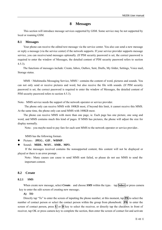## **8 Messages**

This section will introduce message services supported by GSM. Some service may be not supported by local or roaming GSM.

#### **8.1 Messages**

Your phone can receive the edited text message via the service center. You also can send a new message or reply a message (via the service center) if the network supports. If your service provider supports message service, you can receive/send messages optionally. (If PIM security password is set, the correct password is required to enter the window of Messages, the detailed content of PIM security password refers to section 4.5.3).

The functions of messages include: Create, Inbox, Outbox, Sent, Drafts, My folder, Settings, Voice mail, Storage status.

MMS (Multimedia Messaging Service, MMS) contains the content of word, pictures and sounds. You can not only send or receive pictures and word, but also receive the file with sounds. (If PIM security password is set, the correct password is required to enter the window of Messages, the detailed content of PIM security password refers to section 4.5.3).

Note: MMS service needs the support of the network operator or service provider.

The phone only can receive MMS with 100KB most, if beyond this limit, it cannot receive this MMS. At the same time, the phone only can send MMS with 100KB most.

The phone can receive MMS with more than one page, ie. Each page has one picture, one song and word, and MMS contains much this kind of pages. If MMS has pictures, the phone will adjust the size for display normally.

Note: you maybe need to pay fare for each sent MMS to the network operator or service provider.

MMS has the following format:

- z Picture: **JPEG**、**GIF**、**WBMP**。
- z Sound: **MIDI**、**WAV**、**AMR**、**MP3**。

If the messages received contains the nonsupported content, this content will not be displayed or played or there is an error prompt。

Note: Many causes can cause to send MMS sent failed, so please do not use MMS to send the important content.

## **8.2 Create**

#### **8.2.1 SMS**

When create new message, select *Create*, and choose *SMS* within the type, tap **Select** or press camera key to enter the edit screen of creating new message。

#### **A) TO**

Directly tap "To" to enter the screen of inputting the phone number; at this moment, tap **PB** to select the number of contact person or select the contact person within the group from phonebook: **PB** to enter the screen of contact person, press  $\mathbf{U}$  or  $\mathbf{D}$  key to select the receiver, or directly tap the checkbox in front of receiver, tap OK or press camera key to complete the section, then enter the screen of contact list and activate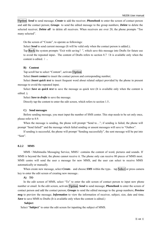**Option**: *Send* to send message; *Create* to add the receiver; *Phonebook* to enter the screen of contact person and add the contact person; *Groups* to send the edited message to the group numbers; *Delete* to delete the selected receiver; *Delete all* to delete all receivers. When receivers are over 20, the phone prompts "Too many selected".

On the screen of "Create", to operate as followings:

Select **Send** to send current message (It will be valid only when the contact person is added.);

Tap **Back** the system prompts "Exit with saving?", which save this message into Drafts for future use to avoid the repeated input。The content of Drafts refers to section 8.7(It is available only when the content is edited. )。

#### **B) Content**

Tap scroll bar to select "Content", activate **Option**:

Select *Insert contact* to insert the contact person and corresponding number;

Select *Insert quick text* to insert frequent word about related subject provided by the phone in present message to avoid the repeated input;

Select *Save as quick text* to save the message as quick text (It is available only when the content is edited. );

Select *Save to drafts* to save the message.

Directly tap the content to enter the edit screen, which refers to section 1.5。

#### **C) Send messages**

Before sending message, you must input the number of SMS center. This step needs to be set only once, please refer to 8.9.

When the message is sending, the phone will prompt "Send to..."; if sending is failed, the phone will prompt "Send failed!" and the message which failed sending or unsent messages will save to "Outbox".

If sending is successful, the phone will prompt "Sending successfully", the sent message will be put into "Sent".

#### **8.2.2 MMS**

MMS (Multimedia Messaging Service, MMS) contains the content of word, pictures and sounds. If MMS is beyond the limit, the phone cannot receive it. The phone only can receive 80 pieces of MMS most. MMS centre will send the user a message for new MMS, and the user can select to receive MMS automatically or manually.

When create new message, select *Create*, and choose *SMS* within the type, tap **Select** or press camera key to enter the edit screen of creating new message。

#### **A) TO**

In the edit screen of MMS, select "To" to enter the edit screen of contact person to input new phone number or email. In the edit screen, activate **Option**: *Send* to send message; *Phonebook* to enter the screen of contact person and add the contact person; *Groups* to send the edited message to the group numbers; *Preview msg* to preview the message; *Information* to view the information of receiver, subject, size, date and time; *Save* to save MMS to Drafts (It is available only when the content is edited.)

#### **Subject**

Select "**Subject**" to enter the edit screen for inputting the subject of MMS.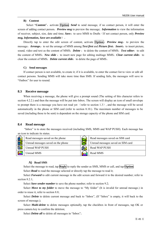#### **B) Content**

Select "**Content**", activate **Option**: *Send* to send message, if no contact person, it will enter the screen of adding contact person;*Preview msg* to preview the message; *Information* to view the information of receiver, subject, size, date and time; *Save*:to save MMS to Drafts(If not contact person, only *Preview msg, Information, Save are available*)。

Directly tap to enter the edit screen of content, activate **Option**: *Preview msg*: to preview the message; *Arrange*: to set the arrange of MMS among *Text first* and *Picture first*; *Insert*: to insert picture, sound, video and text as the content of MMS; *Delete* : to delete the content of MMS; Text editor: to edit the content of MMS; New slide : to insert new page for editing multiage MMS; Clear current slide: to clear the content of MMS: *Delete current slide*: to delete the page of MMS.

#### **C) Send messages**

If contact person is not available, to create it; if it is available, to enter the contact list to view or edit all contact persons. Sending MMS will take more time than SMS. If sending fails, the messages will save to "Outbox" for user to resend.

#### **8.3 Receive message**

When receiving a message, the phone will give a prompt sound (The setting of this character refers to section 4.2.2.) and then the message will be put into Inbox. The screen will display an icon of small envelope to prompt there is a message you have not read yet (refer to section 1.3), and the message will be saved automatically in the phone or SIM card (refer to section 8.10.). The maximum number of messages to be saved (including those to be sent) is dependent on the storage capacity of the phone and SIM card.

#### **8.4 Read message**

 "Inbox" is to store the messages received (including SMS, MMS and WAP PUSH). Each message has an icon to indicate its status.

| áК | Read messages saved on the phone   | Read messages saved on SIM card   |
|----|------------------------------------|-----------------------------------|
| ď  | Unread messages saved on the phone | Unread messages saved on SIM card |
| ēX | Unread WAP PUSH                    | <b>Read WAP PUSH</b>              |
|    | Unread MMS                         | Read MMS                          |

#### **A) Read SMS**

Select the message to read, tap **Reply** to reply the sender as SMS, MMS or call, and tap **Option**: Select *Read* to read the message selected or directly tap the message to read it;

Select *Forward* to edit current message in the edit screen and forward it to the desired number; refer to section 8.2.1:

Select *Save sender number* to save the phone number; refer to section 9.2;

Select *Move to my folder* to move the message to "My folder" (It is invalid for unread message.) in order to reuse it, refer to section 8.8;

Select *Delete* to delete current message and back to "Inbox", (If "Inbox" is empty, it will back to the screen of message.);

Select *Multi-delete* to delete messages optionally, tap the checkbox in front of messages, tap OK or press camera key to confirm the deletion;

Select *Delete all* to delete all messages in "Inbox";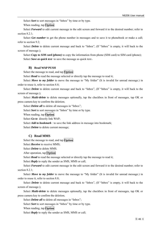Select *Sort* to sort messages in "Inbox" by time or by type.

When reading, tap **Option**:

Select **Forward** to edit current message in the edit screen and forward it to the desired number; refer to section 8.2.1;

Select *Get number* to get the phone number in messages and to save it to phonebook or make a call; refer to section 9.2;

Select *Delete* to delete current message and back to "Inbox", (If "Inbox" is empty, it will back to the screen of message.);

Select *Copy to SIM card (phone)* to copy the information from phone (SIM card) to SIM card (phone); Select *Save as quick text* to save the message as quick text。

#### **B) Read WAP PUSH**

Select the message to read, and tap **Option**:

Select **Read** to read the message selected or directly tap the message to read it;

Select *Move to my folder* to move the message to "My folder" (It is invalid for unread message.) in order to reuse it, refer to section 8.8;

Select *Delete* to delete current message and back to "Inbox", (If "Inbox" is empty, it will back to the screen of message.);

Select *Multi-delete* to delete messages optionally, tap the checkbox in front of messages, tap OK or press camera key to confirm the deletion;

Select *Delete all* to delete all messages in "Inbox";

Select *Sort* to sort messages in "Inbox" by time or by type.

When reading, tap **Option**:

Select *Go to* directly link WAP;

Select *Add to bookmark* : to save the link address in message into bookmark;

Select *Delete* to delete current message;

#### **C) Read MMS**

Select the message to read, and tap **Option**:

Select *Receive* to receive MMS;

Select *Delete* to delete MMS.

After operation, tap **Option**:

Select **Read** to read the message selected or directly tap the message to read it;

Select *Reply* to reply the sender as SMS, MMS or call;

Select *Forward* to edit current message in the edit screen and forward it to the desired number; refer to section 8.2.1:

Select *Move to my folder* to move the message to "My folder" (It is invalid for unread message.) in order to reuse it, refer to section 8.8;

Select *Delete* to delete current message and back to "Inbox", (If "Inbox" is empty, it will back to the screen of message.);

Select *Multi-delete* to delete messages optionally, tap the checkbox in front of messages, tap OK or press camera key to confirm the deletion;

Select *Delete all* to delete all messages in "Inbox";

Select *Sort* to sort messages in "Inbox" by time or by type.

When reading, tap **Option**:

Select *Reply* to reply the sender as SMS, MMS or call;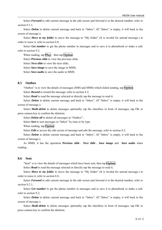Select **Forward** to edit current message in the edit screen and forward it to the desired number; refer to section 8.2.1;

Select *Delete* to delete current message and back to "Inbox", (If "Inbox" is empty, it will back to the screen of message.);

Select *Move to my folder* to move the message to "My folder" (It is invalid for unread message.) in order to reuse it, refer to section 8.8;

Select *Get number* to get the phone number in messages and to save it to phonebook or make a call; refer to section 9.2;

When reading, tap **Play**, then tap **Option**:

Select *Previous slide* to view the previous slide;

Select *Next slide* to view the next slide;

Select *Save image* to save the image in MMS;

Select *Save audio* to save the audio in MMS.

#### **8.5 Outbox**

"Outbox" is to view the details of messages (SMS and MMS) which failed sending, tap **Option**: Select *Resend* to resend the message; refer to section 8.2;

Select *Read* to read the message selected or directly tap the message to read it;

Select *Delete* to delete current message and back to "Inbox", (If "Inbox" is empty, it will back to the screen of message.);

Select *Multi-delete* to delete messages optionally, tap the checkbox in front of messages, tap OK or press camera key to confirm the deletion;

Select *Delete all* to delete all messages in "Outbox";

Select *Sort* to sort messages in "Inbox" by time or by type.

When reading, tap **Option**:

Select *Edit* to access the edit screen of message and edit the message, refer to section 8.2;

Select *Delete* to delete current message and back to "Inbox", (If "Inbox" is empty, it will back to the screen of message.).

As MMS, it has the operation *Previous slide*、*Next slide*、*Save image* and *Save audio* when reading。

#### **8.6 Sent**

"Sent" is to view the details of messages which have been sent, then tap **Option**:

Select *Read* to read the message selected or directly tap the message to read it;

Select *Move to my folder* to move the message to "My folder" (It is invalid for unread message.) in order to reuse it, refer to section 8.8;

Select *Forward* to edit current message in the edit screen and forward it to the desired number; refer to section 8.2.1;

Select *Get number* to get the phone number in messages and to save it to phonebook or make a call; refer to section 9.2;

Select *Delete* to delete current message and back to "Inbox", (If "Inbox" is empty, it will back to the screen of message.);

Select *Multi-delete* to delete messages optionally, tap the checkbox in front of messages, tap OK or press camera key to confirm the deletion;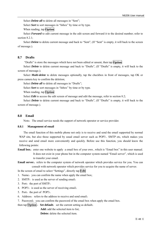Select *Delete all* to delete all messages in "Sent";

Select *Sort* to sort messages in "Inbox" by time or by type.

When reading, tap **Option**:

Select **Forward** to edit current message in the edit screen and forward it to the desired number; refer to section 8.2.1:

Select *Delete* to delete current message and back to "Sent", (If "Sent" is empty, it will back to the screen of message.).

## **8.7 Drafts**

"Drafts" is store the messages which have not been edited or unsent, then tap **Option**:

Select *Delete* to delete current message and back to "Drafts", (If "Drafts" is empty, it will back to the screen of message.);

Select *Multi-delete* to delete messages optionally, tap the checkbox in front of messages, tap OK or press camera key to confirm the deletion;

Select *Delete all* to delete all messages in "Drafts";

Select *Sort* to sort messages in "Inbox" by time or by type.

When reading, tap **Option**:

Select *Edit* to access the edit screen of message and edit the message, refer to section 8.2;

Select *Delete* to delete current message and back to "Drafts", (If "Drafts" is empty, it will back to the screen of message.).

## **8.8 Email**

Note: The email service needs the support of network operator or service provider.

## **8.8.1 Management of email**

The email function of this mobile phone not only is to receive and send the email supported by normal WAP site, but also those supported by usual email server such as POP3、SMTP etc, which makes you receive and send email more conveniently and quickly. Before use this function, you should know the following points:

**Email box:** enter one website to apply a email box of your own, which is "Email box" in this user manual. It does not exist in your phone but in the computer system named "Email server", which is used to transfer your email.

**Email server:** refers to the computer system of network operator which provides service for you. You can consult with network operator which provides service for you to acquire the name of server.

In the screen of email to select "Settings", directly tap **Edit**

1. Name: you can confirm the name when apply the email box;

- 2. SMTP: is used as the server of sending email;
- 3. Port: the port of SMTP;
- 4. POP3: is used as the server of receiving email;
- 5. Port: the port of POP3;
- 6. Address: refers to the address to receive and send email:

7. Password: you can confirm the password of the email box when apply the email box.

then tap **Option** : Set default: set the current setting as default;

**Add:** add the selected item to list;

**Delete:** delete the selected item.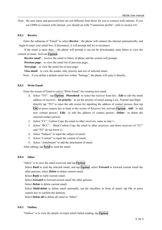Note: the user name and password here are not different from those for you to connect with internet. If you use GPRS to connect with internet, you should set with "Connection profile", refer to section 4.8。

#### **8.8.2 Receive**

Enter the submenu of "Email" to select *Receive*, the phone will connect the internet automatically, and begin to enter your email box, if disconnect, it will prompt and try to reconnect.

If the email is more than, the phone will prompt it can not be downloaded; enter Inbox to view the content of email. Activate **Option**:

**Receive email :** receive the email to Inbox of phone and the system will prompt;

*Previous page:* to view the email list of previous page;

*Next page*: to view the email list of next page;

**View detail:** to view the sender, title, priority and size of selected email.

Note: if you define a default email box within "Settings", the phone will enter it directly.

## **8.8.3 Write Email**

Enter the screen of Email to select "Write Email" for creating new email.

- *1.* Select "TO", tap **Option**: *Phonebook* to select the receiver from list; *Edit* to edit the email address of receiver; Set priority: to set the priority of email among Low, Normal and High; directly tap "TO" to enter the edit screen for inputting the address of contact person, then tap **OK** or press camera key to back to the screen of Receiver list, activate **Option**: *Add*: to add new contact person; **Edit**: to edit the address of contact person; **Delete**: to delete the selected contact person;
- 2. Select "CC", Carbon Copy the email to other receivers, same as step 1;
- 3. Select "BCC", Blind Carbon Copy the email to other receivers, and those receivers of "CC" and "TO" do not know it;
- 4. Select "Subject" to input the subject of email;
- 5. Select "Content" to input the content of email;
- 6. Select "Attachment" to add the attachment of email.

After editing, tap **Send** to send the email.

#### **8.8.4 Inbox**

"Inbox" is to save the email received, and tap **Option**:

Select *Read* to read the selected email, and tap **Option**: select *Forward* to forward current email the other persons; select *Delete* to delete current email;

Select *Reply* to reply current email;

Select *Forward* to forward current email the other persons;

Select *Delete* to delete current email;

 Select *Multi-delete* to delete email optionally, tap the checkbox in front of email, tap OK or press camera key to confirm the deletion;

Select *Delete all* to delete all email in "Inbox".

#### **8.8.5 Outbox**

"Outbox" is to view the details of email which failed sending, tap **Option**: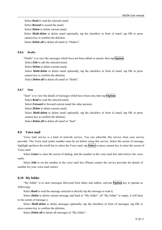Select **Read** to read the selected email;

Select **Resend** to resend the email;

Select *Delete* to delete current email;

 Select *Multi-delete* to delete email optionally, tap the checkbox in front of email, tap OK or press camera key to confirm the deletion;

Select *Delete all* to delete all email in "Outbox".

#### **8.8.6 Drafts**

"Drafts" is to save the messages which have not been edited or unsent, then tap **Option**:

Select *Edit* to edit the selected email;

Select *Delete* to delete current email;

Select *Multi-delete* to delete email optionally, tap the checkbox in front of email, tap OK or press camera key to confirm the deletion;

Select *Delete all* to delete all email in "Drafts".

#### **8.8.7 Sent**

"Sent" is to view the details of messages which have been sent, then tap **Option**:

Select **Read** to read the selected email;

Select *Forward* to forward current email the other persons:

Select *Delete* to delete current email;

Select *Multi-delete* to delete email optionally, tap the checkbox in front of email, tap OK or press camera key to confirm the deletion;

Select *Delete all* to delete all email in "Sent".

## **8.9 Voice mail**

Voice mail service is a kind of network service. You can subscribe this service from your service provider. The Voice mail centre number must be set before using this service. Select the screen of message, highlight up/down the scroll bar to select the Voice mail, tap **Select** or press camera key to enter the screen of Voice mail.

Select *Listen* to enter the screen of dialing, dial the number in the voice mail box and retrieve the voice mails.

Select *Edit* to set the number in the voice mail box (Please contact the service provider for details of number for your voice mail centre).

#### **8.10 My folder**

"My folder" is to store messages delivered from inbox and outbox, activate **Option** key to operate as followings:

Select *Read* to read the message selected or directly tap the message to read it;

Select *Delete* to delete current message and back to "My folder", (If "My folder" is empty, it will back to the screen of message.);

Select *Multi-delete* to delete messages optionally, tap the checkbox in front of messages, tap OK or press camera key to confirm the deletion;

Select *Delete all* to delete all messages in "My folder";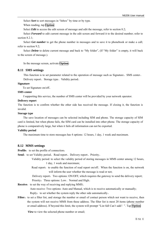Select *Sort* to sort messages in "Inbox" by time or by type.

When reading, tap **Option**:

Select *Edit* to access the edit screen of message and edit the message, refer to section 8.2;

Select *Forward* to edit current message in the edit screen and forward it to the desired number; refer to section  $8.2.1$ 

Select *Get number* to get the phone number in messages and to save it to phonebook or make a call; refer to section 9.2;

Select *Delete* to delete current message and back to "My folder", (If "My folder" is empty, it will back to the screen of message.).

In the message screen, activate **Option**:

## **8.11 SMS settings**

This function is to set parameter related to the operation of message such as Signature、SMS center、 Delivery report、Storage type、Validity period。

#### **Signature**

To set Signature on/off。

#### **SMS center**

f supporting this service, the number of SMS center will be provided by your network operator.

#### **Delivery report**

The function is to confirm whether the other side has received the message. If closing it, the function is invalid.

#### **Storage type**

The save location of messages can be selected including SIM and phone. The storage capacity of SIM card is limited, but when phone fails, the SIM card can be installed into other phone. The storage capacity of phone is comparatively large, but when it fails all information can not be exported.

#### **Validity period**

The maximum time to store messages has 4 options: 12 hours, 1 day, 1 week and maximum.

#### **8.12 MMS settings**

**Profile**: to set the profile of connection;

**Send:** to set Validity period、Read report、Delivery report、Priority。

- Validity period: to select the validity period of storing messages in MMS center among 12 hours, 1 day, 1 week and maximum;
- Read report: to enable the function of read report on/off. When the function is on, the network will inform the user whether the message is read or not;

Delivery report: Two options: ON/OFF, which requires the gateway to send the delivery report; Priority: Three options: Low、Normal and High。

**Receive:** to set the way of receiving and replying MMS.

Auto receive: Two options: Auto and Manual, which is to receive automatically or manually; Reply: to set whether the system reply the other side automatically.

**Filter:** to set a filter list, and storage the number or email of contact person which not want to receive, then the system will not receive MMS from these address. The filter list is most 20 items (phone number or email address). If beyond this limit, the system will prompt "List full Can't add!". Tap **Option**:

*View* to view the selected phone number or email;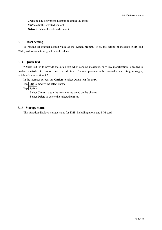*Create* to add new phone number or email; (20 most) *Edit* to edit the selected content; *Delete* to delete the selected content.

## **8.13 Reset setting**

To resume all original default value as the system prompt, if so, the setting of message (SMS and MMS) will resume to original default value。

## **8.14 Quick text**

"Quick text" is to provide the quick text when sending messages, only tiny modification is needed to produce a satisfied text so as to save the edit time. Common phrases can be inserted when editing messages, which refers to section 8.2。

In the message screen, tap **Option** to select *Quick text* for entry.

Tap **Edit** to modify the select phrase。

Tap **Option**:

Select *Create* to edit the new phrases saved on the phone; Select *Delete* to delete the selected phrase。

## **8.15 Storage status**

This function displays storage status for SMS, including phone and SIM card.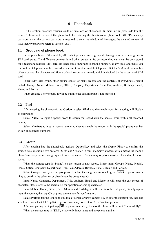## **9 Phonebook**

This section describes various kinds of functions of phonebook. In main menu, press side key the icon of phonebook to select the phonebook for entering the functions of phonebook (If PIM security password is set, the correct password is required to enter the window of Messages, the detailed content of PIM security password refers to section 4.5.3).

#### **9.1 Grouping of phone book**

In the phonebook of this mobile, all contact persons can be grouped. Among them, a special group is SIM card group. The difference between it and other groups is: Its corresponding name can be only stored for a telephone number. SIM card can keep some important telephone numbers at any time, and make you find out the telephone number needed when use it on other mobile telephone. But for SIM card the number of records and the character and figure of each record are limited, which is decided by the capacity of SIM card.

Except SIM card group, other groups consist of many records and the contents of everybody's record include Groups, Name, Mobile, Home, Office, Company, Department, Title, Fax, Address, Birthday, Email, Memo and Portrait。

When creating a new record, it will be put into the default group if not specified.

#### **9.2 Find**

After entering the phonebook, tap **Option** to select *Find*, and the search types for selecting will display as following:

Select *Name:* to input a special word to search the record with the special word within all recorded names;

Select *Number*: to input a special phone number to search the record with the special phone number within all recorded numbers;

#### **9.3 Create**

After entering into the phonebook, activate **Option** key and select the *Create*. Firstly to confirm the storage type, including two options: "SIM" and "Phone". If "full memory" appears, which means the mobile phone's memory has no enough space to save the record. The memory of phone must be cleaned up for more space.

When the storage type is "Phone", on the screen of new record, it may input Groups, Name, Mobiel, Home, Office, Company, Department, Title, Fax, Address, Birthday, Email, Memo and Portrait.

Select Groups, directly tap the group icon to select the subgroup via side key, tap **Select** or press camera key to confirm the selection or directly tap the group needed;

Input Name, Company, Department, Title, Address, Email and Memo, it will enter the edit screen of character. Please refer to the section 1.5 for operation of editing character.

Input Mobile, Home, Office, Fax, Address and Birthday, it will enter into the dial panel, directly tap to input the content, then tap **Ok** or press camera key for confirmation.

Select Portrait, tap the icon in the middle of screen or press camera key to enter the portrait list, then use side key to view the CLI. Tap **Set** or press camera key to set it as CLI of contact person

After completing the input, tap **OK** or press camera key, the mobile phone will prompt "Successfully". When the storage type is "SIM", it may only input name and one phone number.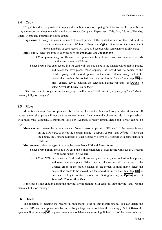## **9.4 Copy**

"Copy" is a shortcut provided to replace the mobile phone or copying the information. It is possible to copy the records on the phone with multi-ways except. Company, Department, Title, Fax, Address, Birthday, Email, Memo and Portrait can not be copied.

**Copy current:** copy the current contact of select person. If the contact is save on the SIM card, to select the content among:*Mobile*、*Home* and *Office*;if saved on the phone, the 3 phone numbers of each record will save as 3 records with same names in SIM card;

**Multi-copy:** select the type of copying between *From SIM* and *From phone*.

- Select *From phone:* copy to SIM card, the 3 phone numbers of each record will save as 3 records with same names in SIM card.
- Select *From SIM:* each record in SIM card will take one place in the phonebook of mobile phone, and select the save place. When copying, the record will be copied to the Unfiled group in the mobile phone. In the screen of multi-copy, select the person that needs to be copied, tap the checkbox in front of item, tap **OK** or press camera key to confirm the selection. During copying, tap **Option** to select *Select all*, *Cancel all* or *View*;

If the space is not enough during the copying, it will prompt "SIM card full, stop copying" and "Mobile memory full, stop copying".

#### **9.5 Move**

Move is a shortcut function provided for replacing the mobile phone and copying the information. If moved, the original place will not save the content moved. It can move the phone records in the phonebook with multi-ways. Company, Department, Title, Fax, Address, Birthday, Email, Memo and Portrait can not be copied.

**Move current:** move the current contact of select person to phone or SIM card. If the contact is save on the SIM card, to select the content among:*Mobile*、*Home* and *Office*;if saved on the phone, the 3 phone numbers of each record will save as 3 records with same names in SIM card.

**Multi-move:** select the type of moving between *From SIM* and *From phone*.

Select *From phone:* move to SIM card, the 3 phone numbers of each record will save as 3 records with same names in SIM card.

Select *From SIM:* each record in SIM card will take one place in the phonebook of mobile phone, and select the save place. When moving, the record will be moved to the Unfiled group in the mobile phone. In the screen of multi-move, select the person that needs to be moved, tap the checkbox in front of item, tap **OK** or press camera key to confirm the selection. During moving, tap **Option** to select *Select all*, *Cancel all* or *View*;

If the space is not enough during the moving, it will prompt "SIM card full, stop moving" and "Mobile memory full, stop moving".

#### **9.6 Delete**

The function of deleting the records in phonebook is set in this mobile phone. You can delete the records of SIM card and phone one by one or by package, and also delete them multiply. Select *Delete* the system will prompt, tap **OK** or press camera key to delete the current highlighted data of the person selected,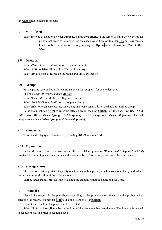tap **Cancel** not to delete the record.

#### **9.7 Multi-delete**

Select the type of deletion between *From SIM* and *From phone*. In the screen of multi-delete, select the person that needs to be moved, tap the checkbox in front of item, tap **OK** or press camera key to confirm the selection. During moving, tap **Option** to select *Select all*, *Cancel all* or *View*.

#### **9.8 Delete all**

Select *Phone* to delete all record on the phone one-off; Select **SIM** to delete all record on SIM card one-off; Select *All* to delete all record on the phone and SIM card one-off。

## **9.9 Groups**

Put the phone records into different groups as various property for convenient use。

The phone has 20 groups, and tap **Option**:

Select *Send SMS* send SMS to all group members;

Select *Send MMS* send MMS to all group members;

Select *Edit* to rename, select ring tone and group icon ( rename is not available for unfiled group).

In the group list, tap **Select** to enter the selected group, then tap **Option** to *Add*、*Call*、*IP dial*、*Send SMS*、*Send MMS*、*Delete (group)*、*Delete (phone)*、*Delete all (group)*、*Delete all (phone)*(Unfiled group does not have *Delete (group) and Delete all (group)*)。

#### **9.10 Show type**

To set the display type of contact list, including *All*, *Phone and SIM*.

#### **9.11 My number**

In the idle screen, enter the main menu, then select the options of "*Phone book*" *"Option"* and "*My number*" in turn to input, change and view the own number. If no setting, it will enter the edit screen.

#### **9.12 Storage status**

The function of storage status Capacity is set in this mobile phone, which makes user clearly understand the current usage situation of the mobile phone.

Storage status mainly provides the total and used amount of mobile phone and SIM card.

#### **9.13 Phone list**

List all the records in the phonebook according to the pronunciation of name and alphabet. After selecting the record, you may tap **Call** to dial the telephone. Tap **Option**:

Select *Call* to dial out the phone number selected;

Select *IP dial* to insert IP number in the front of the phone number then dial out (The function is needed to set before use, and refer to section 4.4.8);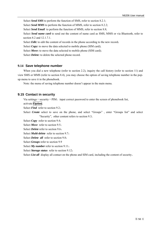Select **Send SMS** to perform the function of SMS, refer to section 8.2.1; Select *Send MMS* to perform the function of MMS, refer to section 8.2.2; Select *Send Email* to perform the function of MMS, refer to section 8.8; Select *Send name card* to send out the content of name card as SMS, MMS or via Bluetooth, refer to section 8.2 and 12.1.7.1. Select *Edit*: to edit the content of records in the phone according to the new record; Select *Copy***:** to move the data selected to mobile phone (SIM card); Select *Move*: to move the data selected to mobile phone (SIM card); Select *Delete:* to delete the selected phone record.

## **9.14 Save telephone number**

When you dial a new telephone (refer to section 2.2), inquiry the call history (refer to section 11) and view SMS or MMS (refer to section 8.4), you may choose the option of saving telephone number in the popup menu to save it in the phonebook.

Note: the menu of saving telephone number doesn't appear in the main menu.

## **9.15 Contact in security**

Via settings-security-PIM, input correct password to enter the screen of phonebook list,

activate **Option**,

Select *Find* refer to section 9.2;

Select *Create* select to save on the phone, and select "Groups", enter "Groups list" and select "Security", other content refers to section 9.3;

Select *Copy* refer to section 9.4;

Select *Move* refer to section 9.5;

Select *Delete* refer to section 9.6;

Select *Multi-delete* refer to section 9.7;

Select *Delete all* refer to section 9.8;

Select *Groups* refer to section 9.9

Select *My number* refer to section 9.11;

Select *Storage status* refer to section 9.12;

Select *List all* display all contact on the phone and SIM card, including the content of security.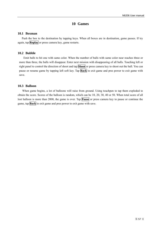## **10 Games**

#### **10.1 Boxman**

Push the box to the destination by tapping keys. When all boxes are in destination, game passes. If try again, tap **Replay** or press camera key, game restarts.

#### **10.2 Bubble**

Emit balls to hit one with same color. When the number of balls with same color near reaches three or more than three, the balls will disappear. Enter next mission with disappearing of all balls. Touching left or right panel to control the direction of shoot and tap **Shoot** or press camera key to shoot out the ball. You can pause or resume game by tapping left soft key. Tap **Back** to exit game and pres power to exit game with save.

#### **10.3 Balloon**

When game begins, a lot of balloons will raise from ground. Using touchpen to tap them exploded to obtain the score. Scores of the balloon is random, which can be 10, 20, 30, 40 or 50. When total score of all lost balloon is more than 2000, the game is over. Tap **Pause** or press camera key to pause or continue the game, tap **Back** to exit game and pres power to exit game with save.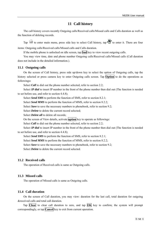## **11 Call history**

The call history covers recently Outgoing calls/Received calls/Missed calls and Calls duration as well as the function of deleting records.

Tap to enter main menu, press side key to select Call history, tap to enter it. There are four items: Outgoing calls/Received calls/Missed calls and Calls duration.

If the mobile phone is unlocked on idle screen, tap **Snd** key to view recent outgoing calls.

You may view time, date and phone number Outgoing calls/Received calls/Missed calls (Call duration does not include in the detailed information.).

#### **11.1 Outgoing calls**

On the screen of Call history, press side up/down key to select the option of Outgoing calls, tap the history selected or press camera key to enter Outgoing calls screen. Tap **Option** to do the operations as followings**:** 

Select *Call* to dial out the phone number selected, refer to section 2.2;

Select *IP dial* to insert IP number in the front of the phone number then dial out (The function is needed to set before use, and refer to section 4.4.8);

Select *Send SMS* to perform the function of SMS, refer to section 8.2.1;

Select *Send MMS* to perform the function of MMS, refer to section 8.2.2;

Select *Save* to save the necessary numbers to phonebook, refer to section 9.2;

Select *Delete* to delete the current record selected;

Select *Delete* all to delete all records;

On the screen of View details, activate **option** key to operate as followings:

Select *Call* to dial out the phone number selected, refer to section 2.2;

Select *IP dial* to insert IP number in the front of the phone number then dial out (The function is needed to set before use, and refer to section 4.4.8);

Select *Send SMS* to perform the function of SMS, refer to section 8.2.1;

Select *Send MMS* to perform the function of MMS, refer to section 8.2.2;

Select *Save* to save the necessary numbers to phonebook, refer to section 9.2;

Select *Delete* to delete the current record selected.

#### **11.2 Received calls**

The operation of Received calls is same as Outgoing calls.

#### **11.3 Missed calls**

The operation of Missed calls is same as Outgoing calls.

#### **11.4 Call duration**

On the screen of Call duration, you may view: duration for the last call, total duration for outgoing &received calls and total call duration.

Tap **Clear** to clear call duration to zero, and tap **OK** key to confirm; the system will prompt correspondingly, or tap **Cancel** key to exit from current operation.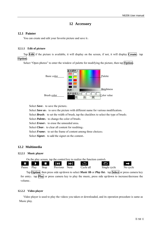## **12 Accessory**

## **12.1 Painter**

You can create and edit your favorite picture and save it。

## **12.1.1 Edit of picture**

Tap **Edit** if the picture is available, it will display on the screen, if not, it will display **Create**,tap **Option**:

Select "Open photos" to enter the window of palette for modifying the picture, then tap **Option**:



Select *Save*: to save the picture;

Select *Save as*: to save the picture with different name for various modification;

Select **Brush**: to set the width of brush, tap the checkbox to select the type of brush;

Select *Palette*: to change the color of brush;

Select *Eraser*: to erase the unneeded area;

Select *Clear*: to clear all content for reediting;

Select *Frame*: to set the frame of content among three choices;

Select **Signet**: to add the signet on the content.

## **12.2 Multimedia**

## **12.2.1 Music player**



Tap **Option**, then press side up/down to select *Music lib* or *Play list*, tap **Select** or press camera key for entry, tap **Play** or press camera key to play the music, press side up/down to increase/decrease the volume。

## **12.2.2 Video player**

Video player is used to play the videos you taken or downloaded, and its operation procedure is same as Music play.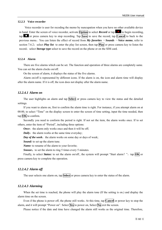#### **12.2.3 Voice recorder**

 Voice recorder is user for recoding the memo by nuncupation when you have no other available device in hand. Enter the screen of voice recorder, activate **Option** to select *Record* or tap to begin recording, tap **T** or press camera key to stop recording. Tap **Save** to save the record, tap **Cancel** to back to the previous menu。You can listen the effect of record from *My favorites* -*Sounds* -*Voice memo*, refer to section 7.6.2; select *Play list* to enter the play list screen, then tap **Play** or press camera key to listen the record; select *Storage type* select to save the record on the phone or on the SIM card.

#### **12.2.4 Alarm**

There are five alarms which can be set. The function and operation of three alarms are completely same. You can set the alarm clocks on/off.

On the screen of alarm, it displays the status of the five alarms.

Alarm on/off is represented by different icons. If the alarm is on, the icon and alarm time will display after the alarm name. If it is off, the icon does not display after the alarm name.

#### *12.2.4.1 Alarm on*

The user highlights an alarm and tap **Select** or press camera key to view the status and the detailed settings.

If you want to alarm on, first to confirm the alarm time is right. For instance, if you attempt alarm on at 00:00, to select "Time" on the display screen to enter the screen of time setting, input the time needed, then tap **OK** to confirm.

Secondly you need to conform the period is right. If not set the item, the alarm works once. If to set others, enter the item of "Period", including three options:

*Once*: the alarm only works once and then it will be off;

*Daily*: the alarm works at the same time everyday;

*Day of the week*: the alarm works on some day or days of week;

*Sound:* to set up the alarm tune.

*Name:* to rename of the alarm to your favorite;

*Snooze*: to set the alarm to ring 5 times every 5 minutes.

Finally, to select *Status:* to set the alarm on/off., the system will prompt "Start alarm?", tap  $\overline{OK}$  or press camera key to complete the operation.

#### *12.2.4.2 Alarm off*

The user selects one alarm on, tap **Select** or press camera key to enter the status of the alarm.

#### *12.2.4.3 Alarming*

When the set time is reached, the phone will play the alarm tone (If the setting is on.) and display the alarm time on the screen.

Even if the phone is power off, the phone still works. At this time, tap **Cancel** or power key to stop the alarm, and it will prompt "Power on". Select **Yes** to power on, Select **No** exit the screen.

Please notice if the date and time have changed the alarm still works as the original time. Therefore,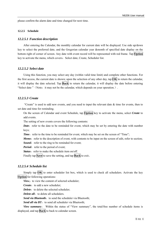please confirm the alarm date and time changed for next time.

#### **12.2.5 Schedule**

#### *12.2.5.1 Function description*

After entering the Calendar, the monthly calendar for current date will be displayed. Use side up/down key to select the preferred date, and the Gregorian calendar year &month of specified date display on the bottom right of corner of screen. Any date with event record will be represented with red frame. Tap **Option** key to activate the menu, which covers: Select date, Create, Scheduler list.

#### *12.2.5.2 Select date*

Using this function, you may select any day (within valid time limit) and complete other functions. For the first access, the current date is shown; upon the selection of any other day, tap  $\vert OK \vert$  to return the calendar, it will display the date selected. Tap **Back** to return the calendar, it will display the date before entering "Select date " (Note: it may not be the calendar, which depends on your operation.).

#### *12.2.5.3 Create*

"Create" is used to add new events, and you need to input the relevant date  $\&$  time for events, then to set date and time for reminding.

On the screen of Calendar and event Schedule, tap **Option** key to activate the menu, select *Create* to add events.

The setting of new events covers the following contents:

*Date*: refer to the date to be reminded for event, which may be set by entering the date with number keys;

*Time*: refer to the time to be reminded for event, which may be set on the screen of "Time";

*Memo*: refer to the description of event, with contents to be input on the screen of edit, refer to section;

**Sound:** refer to the ring to be reminded for event;

*Period*: refer to the period of event;

*Status*: refer to make the schedule item on/off.

Finally tap **Save** to save the setting, and tap **Back** to exit。

#### *12.2.5.4 Schedule list*

Simply tap **OK** to enter scheduler list box, which is used to check all schedulers. Activate the key **Option** for following operations:

**View:** to view the content of selected scheduler;

*Create*: to add a new scheduler;

**Delete**: to delete the selected scheduler;

*Delete all*: to delete all schedulers.

**Send via Bluetooth:** to send the scheduler via Bluetooth;

**Send all via BT:** to send all scheduler via Bluetooth;

*View summary*: Within the status of "View summary", the total/free number of schedule items is displayed, and tap **Back** to back to calendar screen.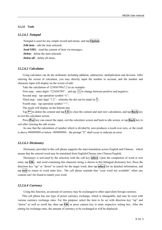#### **12.2.6 Tools**

#### *12.2.6.1 Notepad*

Notepad is used for any simple record and memo, and tap **Option**: *Edit item*: edit the item selected; **Send SMS**: send the content of item via messages: *Delete*: delete the item selected: *Delete all*: delete all items.

#### *12.2.6.2 Calculator*

Using calculator can do the arithmetic including addition, subtraction, multiplication and division. After entering the screen of calculator, you may directly input the number to account, and the number and character input will display on the screen of edit:

Take the calculation of 123456789x7.2 as an example:

First step: enter digits "123456789", and tap  $#$  to change between positive and negative;

Second step: tap operation symbol " $x$ ";

Third step: enter digit "7.2", whereby the dot can be made by  $*$ ;

Fourth step: tap operation symbol "=";

The result will display on the bottom line.

Tap  $\left| \leftarrow \right|$  to delete the content and tap  $\overline{CE}$  to clear the content and start new calculation, and tap **Back** key to exit the calculator screen.

Press **Pwr** key can cancel the input, exit the calculator screen and back to idle screen, or tap **Back** key to exit after clearing the edit screen.

In case that the calculation of number which is divided by zero produces a result over zero, or the result is above 999999999 or below -999999999, the prompt "E" shall occur to indicate an error.

#### *12.2.6.3 Dictionary*

Dictionary provided in this cell phone supports the inter-translation across English and Chinese, which means that the entered word may be translated from English/Chinese into Chinese/English.

Dictionary is activated by the selection with the soft key **select**. Upon the completion of word or text enter, tap  $\overrightarrow{OK}$ , and word containing this character string is shown in this bilingual dictionary box. Press the direction key "up" or "down" to search for the target word, then tap **select** for its detailed information, and tap **exit** to return to word enter box; The cell phone reminds that "your word not available" when any content can't be found to match your word.

#### *12.2.6.4 Currency*

Using this function, an amount of currency may be exchanged to other equivalent foreign currency.

This cell phone has one type of preset currency exchange, which is changeable, and may be reset with various currency exchange rates. For this purpose, select the item to be set with direction key "up" and "down" as well as scroll bar, then tap **OK** or press camera key to enter respective setting box. After the setting for exchange rates, the amount of currency to be exchanged to will be displayed.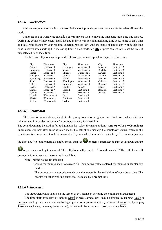#### *12.2.6.5 World clock*

With an easy operation method, the worldwide clock provide great convenience for travelers all over the world.

Under the box of worldwide clock,  $\nabla u \propto \nabla d$  may be used to move the time zone indicating line located. During the course of movement, items located in the lower position, including time zone, name of city, time and date, will change by your random selection respectively. And the name of famed city within this time zone is shown when shifting this indicating line, in such mode, tap **OK** or press camera key to set the time of city selected to its local time.

So far, this cell phone could provide following cities correspond to respective time zones:

| City      | Time zone    | City             | Time zone   | City     | Time zone   |
|-----------|--------------|------------------|-------------|----------|-------------|
| Beijing   | East zone 8  | Los angels       | West zone 8 | Moscow   | East zone 3 |
| Hongkong  | East zone 8  | Mexico           | West zone 6 | Baghdad  | East zone 3 |
| Taipei    | East zone 8  | Chicago          | West zone 6 | Kuwait   | East zone 3 |
| Singapore | East zone 8  | Ottawa           | West zone 6 | Teheran  | East zone 3 |
| Pyongyang | East zone 9  | Miami            | West zone 5 | New deli | East zone 5 |
| Seoul     | East zone 9  | Washington       | West zone 5 | Calcutta | East zone 5 |
| Tokyo     | East zone 9  | New York         | West zone 5 | Rangoon  | East zone 6 |
| Osaka     | East zone 9  | London           | Zone 0      | Hanoi    | East zone 7 |
| Manila    | East zone 9  | Madrid           | East zone 1 | Bangkok  | East zone 7 |
| Sydney    | East zone 10 | Rome             | East zone 1 | Jakarta  | East zone 7 |
| Hawaii    | West zone 10 | Paris            | East zone 1 |          |             |
| Alaska    | West zone 9  | <b>Frankfurt</b> | East zone 1 |          |             |
| Seattle   | West zone 8  | <b>Berlin</b>    | East zone 1 |          |             |

#### *12.2.6.6 Countdown*

This function is mainly applicable to the prompt operation at given time. Such as: dial up after ten minutes, etc. It provides no content for prompt, and easy for operation.

The countdown may be used in following methods: select the menu option *Accessory* -*Tools* -*Countdown* under accessory box after entering main menu, the cell phone displays the countdown status, whereby the countdown time may be entered. For example: if you need to be reminded after forty five minutes, just tap

the digit key "45" under normal standby mode, then tap  $\bullet$  or press camera key to start countdown and tap

 or press camera key to cancel it. The cell phone will prompt:"Countdown start!" The cell phone will prompt in 45 minutes that the set time is available.

- Note: •Enter values for minutes;
	- •Values for minutes shall not exceed 99(countdown values entered for minutes under standby mode).
	- •The prompt box may produce under standby mode for the availability of countdown time. The prompt for other working states shall be made by a prompt tune.

#### *12.2.6.7 Stopwatch*

The stopwatch box is shown on the screen of cell phone by selecting the option stopwatch menu.

The time starts from zero by tapping **Start** or press camera key, may be stopped by tapping **Pause** or press camera key, and may continue by tapping **Go on** or press camera key; or may return to zero by tapping **Reset** (in such case, time may be re-started), or may exit from stopwatch box by tapping **Back** .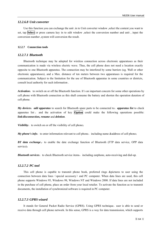#### *12.2.6.8 Unit converter*

Use this function you can exchange the unit .in to Unit converter window ,select the content you want to set, tap **Select** or press camera key in to edit window ,select the conversion number and unit , input the conversion number ,system will conversion the result.

#### **12.2.7 Connection tools**

#### *12.2.7.1 Bluetooth*

Bluetooth technique may be adopted for wireless connection across electronic apparatuses as their communication is made via wireless electric wave. Thus, the cell phone does not need a location exactly opposite to one Bluetooth apparatus. The connection may be interfered by some barriers (eg. Wall or other electronic apparatuses), and a Max. distance of ten meters between two apparatuses is required for the communication. Subject to the limitation for the use of Bluetooth apparatus in some countries or districts, consult local authority for such information .

*Activation*: to switch on or off the Bluetooth function. It's an important concern for some other operations by cell phone with Bluetooth connection as this shall consume the battery and shorten the operation duration of cell phone.

*My devices*:*add apparatus* to search for Bluetooth spare parts to be connected to;*apparatus list* to check apparatus list , and the activation of key **Option** could make the following operations possible: *link/disconnection, rename* and *deletion*.

**Visibility:** to switch on or off the visibility of cell phone;

*My phone's info*: to enter information relevant to cell phone, including name &address of cell phone;

*BT data exchange*: to enable the date exchange function of Bluetooth (FTP data service, OPP data service);

*Bluetooth services*: to check Bluetooth service items, including earphone, auto-receiving and dial-up.

#### *12.2.7.2 PC tool*

This cell phone is capable to transmit phone book, preferred rings &pictures to user using the connection between data lines (special accessory) and PC computer. When data lines are used, this cell phone supports Windows 95, Windows 98, Windows NT and Windows 2000. If data lines are not included in the purchase of cell phone, place an order from your local retailer. To activate the function as to transmit documents, the installation of synchronized software is required in PC computer.

## *12.2.7.3 GPRS wizard*

It stands for General Packet Radio Service (GPRS). Using GPRS technique, user is able to send or receive data through cell phone network. In this sense, GPRS is a way for data transmission, which supports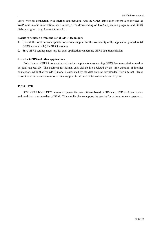user's wireless connection with internet data network. And the GPRS application covers such services as WAP, multi-media information, short message, the downloading of JAVA application program, and GPRS dial-up program (e.g. Internet &e-mail).

#### **Events to be noted before the use of GPRS technique:**

- 1. Consult the local network operator or service supplier for the availability or the application procedure (if GPRS not available) for GPRS service;
- 2. Save GPRS settings necessary for each application concerning GPRS data transmission;

#### **Price for GPRS and other applications**

Both the use of GPRS connection and various applications concerning GPRS data transmission need to be paid respectively. The payment for normal data dial-up is calculated by the time duration of internet connection, while that for GPRS mode is calculated by the data amount downloaded from internet. Please consult local network operator or service supplier for detailed information relevant to price.

## **12.2.8 STK**

STK (SIM TOOL KIT) allows to operate its own software based on SIM card. STK card can receive and send short message data of GSM. This mobile phone supports the service for various network operators.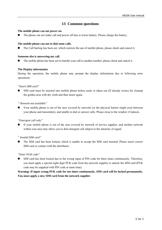# **13 Common questions**

#### **The mobile phone can not power on.**

The phone can not make call and power off due to lower battery. Please charge the battery.

#### **The mobile phone can not to dial some calls.**

The Call barring has been set, which restricts the use of mobile phone, please check and cancel it.

#### **Someone else is answering my call.**

The mobile phone has been set to transfer your call to another number, please check and cancel it.

#### **The Display information**

During the operation, the mobile phone may prompt the display information due to following error operations:

#### *"Insert SIM card"*

 SIM card must be inserted into mobile phone before used, or taken out (If already exists) for cleanup the golden area with dry cloth and then insert again.

#### *" Network not available"*

 Your mobile phone is out of the area covered by network (or the physical barrier might exist between your phone and transmitter), and unable to dial or answer calls. Please close to the window if indoors.

## *"Emergent call only"*

 If your mobile phone is out of the area covered by network of service supplier, and another network within your area may allow you to dial emergent call subject to the intensity of signal.

## *" Invalid SIM card"*

 The SIM card has been locked, which is unable to accept the SIM card inserted. Please insert correct SIM card or contact with the distributor.

## *"Enter PUK code"*

 SIM card has been locked due to the wrong input of PIN code for three times continuously. Therefore, you must apply a special eight-digit PUK code from the network supplier to unlock the SIM card (PUK code may be supplied with PIN code at same time).

**Warning: If input wrong PUK code for ten times continuously, SIM card will be locked permanently. You must apply a new SIM card from the network supplier.**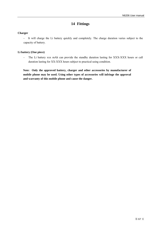# **14 Fittings**

## **Charger**

- It will charge the Li battery quickly and completely. The charge duration varies subject to the capacity of battery.

## **Li battery (One piece)**

- The Li battery xxx mAh can provide the standby duration lasting for XXX-XXX hours or call duration lasting for XX-XXX hours subject to practical using condition.

**Note: Only the approved battery, charger and other accessories by manufacturer of mobile phone may be used. Using other types of accessories will infringe the approval and warranty of this mobile phone and cause the danger.**